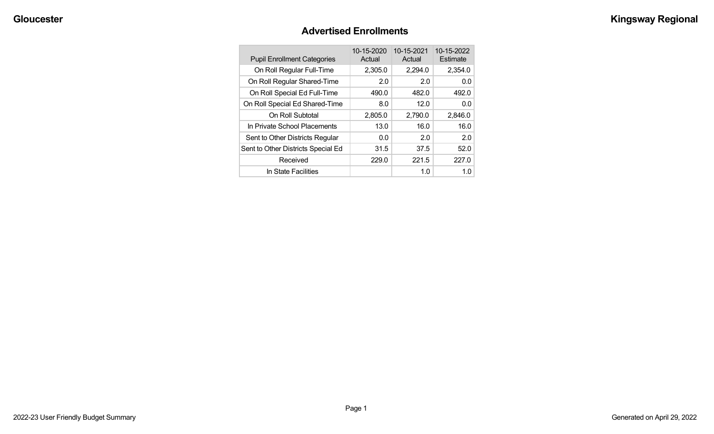#### **Advertised Enrollments**

| <b>Pupil Enrollment Categories</b> | 10-15-2020<br>Actual | 10-15-2021<br>Actual | 10-15-2022<br>Estimate |
|------------------------------------|----------------------|----------------------|------------------------|
| On Roll Regular Full-Time          | 2,305.0              | 2,294.0              | 2,354.0                |
| On Roll Regular Shared-Time        | 2.0                  | 2.0                  | 0.0                    |
| On Roll Special Ed Full-Time       | 490.0                | 482.0                | 492.0                  |
| On Roll Special Ed Shared-Time     | 8.0                  | 12.0                 | 0.0                    |
| On Roll Subtotal                   | 2,805.0              | 2,790.0              | 2,846.0                |
| In Private School Placements       | 13.0                 | 16.0                 | 16.0                   |
| Sent to Other Districts Regular    | 0.0                  | 2.0                  | 2.0                    |
| Sent to Other Districts Special Ed | 31.5                 | 37.5                 | 52.0                   |
| Received                           | 229.0                | 221.5                | 227.0                  |
| In State Facilities                |                      | 1.0                  | 1.0                    |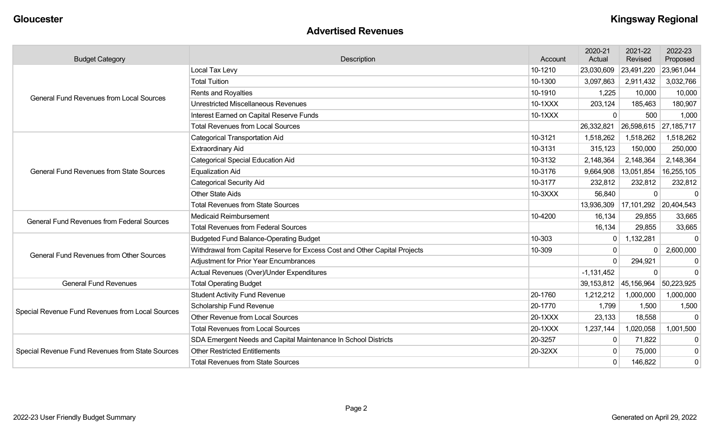#### **Advertised Revenues**

| <b>Budget Category</b>                            | Description                                                                | Account | 2020-21<br>Actual | 2021-22<br>Revised      | 2022-23<br>Proposed |
|---------------------------------------------------|----------------------------------------------------------------------------|---------|-------------------|-------------------------|---------------------|
|                                                   | Local Tax Levy                                                             | 10-1210 | 23,030,609        | 23,491,220              | 23,961,044          |
|                                                   | <b>Total Tuition</b>                                                       | 10-1300 | 3,097,863         | 2,911,432               | 3,032,766           |
| <b>General Fund Revenues from Local Sources</b>   | Rents and Royalties                                                        | 10-1910 | 1,225             | 10,000                  | 10,000              |
|                                                   | <b>Unrestricted Miscellaneous Revenues</b>                                 | 10-1XXX | 203,124           | 185,463                 | 180,907             |
|                                                   | Interest Earned on Capital Reserve Funds                                   | 10-1XXX | $\mathbf{0}$      | 500                     | 1,000               |
|                                                   | <b>Total Revenues from Local Sources</b>                                   |         | 26,332,821        | 26,598,615              | 27,185,717          |
|                                                   | <b>Categorical Transportation Aid</b>                                      | 10-3121 | 1,518,262         | 1,518,262               | 1,518,262           |
|                                                   | <b>Extraordinary Aid</b>                                                   | 10-3131 | 315,123           | 150,000                 | 250,000             |
|                                                   | <b>Categorical Special Education Aid</b>                                   | 10-3132 | 2,148,364         | 2,148,364               | 2,148,364           |
| <b>General Fund Revenues from State Sources</b>   | <b>Equalization Aid</b>                                                    | 10-3176 | 9,664,908         | 13,051,854              | 16,255,105          |
|                                                   | <b>Categorical Security Aid</b>                                            | 10-3177 | 232,812           | 232,812                 | 232,812             |
|                                                   | <b>Other State Aids</b>                                                    | 10-3XXX | 56,840            | $\mathbf{0}$            | $\mathbf 0$         |
|                                                   | <b>Total Revenues from State Sources</b>                                   |         | 13,936,309        | $17,101,292$ 20,404,543 |                     |
| <b>General Fund Revenues from Federal Sources</b> | Medicaid Reimbursement                                                     | 10-4200 | 16,134            | 29,855                  | 33,665              |
|                                                   | <b>Total Revenues from Federal Sources</b>                                 |         | 16,134            | 29,855                  | 33,665              |
|                                                   | <b>Budgeted Fund Balance-Operating Budget</b>                              | 10-303  | $\mathbf{0}$      | 1,132,281               | $\Omega$            |
| <b>General Fund Revenues from Other Sources</b>   | Withdrawal from Capital Reserve for Excess Cost and Other Capital Projects | 10-309  | 0                 | 0                       | 2,600,000           |
|                                                   | <b>Adjustment for Prior Year Encumbrances</b>                              |         | $\Omega$          | 294,921                 | 0                   |
|                                                   | Actual Revenues (Over)/Under Expenditures                                  |         | $-1,131,452$      | $\Omega$                | $\Omega$            |
| <b>General Fund Revenues</b>                      | <b>Total Operating Budget</b>                                              |         | 39,153,812        | 45,156,964              | 50,223,925          |
|                                                   | <b>Student Activity Fund Revenue</b>                                       | 20-1760 | 1,212,212         | 1,000,000               | 1,000,000           |
| Special Revenue Fund Revenues from Local Sources  | Scholarship Fund Revenue                                                   | 20-1770 | 1,799             | 1,500                   | 1,500               |
|                                                   | <b>Other Revenue from Local Sources</b>                                    | 20-1XXX | 23,133            | 18,558                  | $\Omega$            |
|                                                   | <b>Total Revenues from Local Sources</b>                                   | 20-1XXX | 1,237,144         | 1,020,058               | 1,001,500           |
|                                                   | SDA Emergent Needs and Capital Maintenance In School Districts             | 20-3257 | $\mathbf{0}$      | 71,822                  | 0                   |
| Special Revenue Fund Revenues from State Sources  | <b>Other Restricted Entitlements</b>                                       | 20-32XX | $\mathbf{0}$      | 75,000                  | $\mathbf 0$         |
|                                                   | <b>Total Revenues from State Sources</b>                                   |         | 0                 | 146,822                 | $\mathbf 0$         |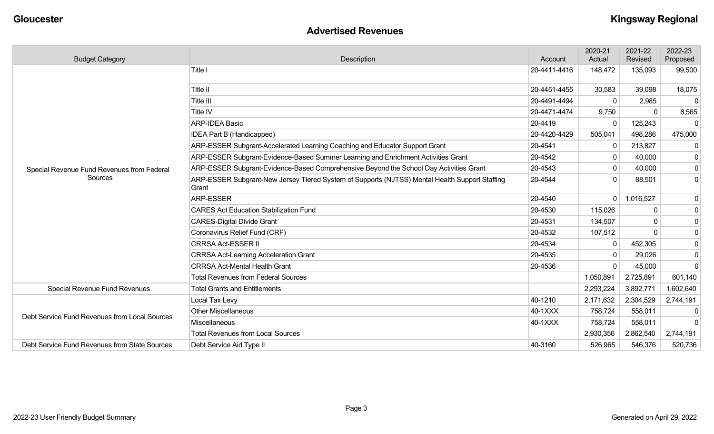#### **Advertised Revenues**

| <b>Budget Category</b>                        | <b>Description</b>                                                                                      | Account      | 2020-21<br>Actual | 2021-22<br>Revised | 2022-23<br>Proposed |
|-----------------------------------------------|---------------------------------------------------------------------------------------------------------|--------------|-------------------|--------------------|---------------------|
|                                               | Title I                                                                                                 | 20-4411-4416 | 148,472           | 135,093            | 99,500              |
|                                               | Title II                                                                                                | 20-4451-4455 | 30,583            | 39,098             | 18,075              |
|                                               | Title III                                                                                               | 20-4491-4494 | $\Omega$          | 2,985              | $\mathbf{0}$        |
|                                               | Title IV                                                                                                | 20-4471-4474 | 9,750             | 0                  | 8,565               |
|                                               | <b>ARP-IDEA Basic</b>                                                                                   | 20-4419      | $\Omega$          | 125,243            | 0                   |
|                                               | IDEA Part B (Handicapped)                                                                               | 20-4420-4429 | 505,041           | 498,286            | 475,000             |
|                                               | ARP-ESSER Subgrant-Accelerated Learning Coaching and Educator Support Grant                             | 20-4541      | $\mathbf 0$       | 213,827            | $\overline{0}$      |
|                                               | ARP-ESSER Subgrant-Evidence-Based Summer Learning and Enrichment Activities Grant                       | 20-4542      | 0                 | 40,000             | $\overline{0}$      |
| Special Revenue Fund Revenues from Federal    | ARP-ESSER Subgrant-Evidence-Based Comprehensive Beyond the School Day Activities Grant                  | 20-4543      | $\mathbf{0}$      | 40,000             | $\overline{0}$      |
| Sources                                       | ARP-ESSER Subgrant-New Jersey Tiered System of Supports (NJTSS) Mental Health Support Staffing<br>Grant | 20-4544      |                   | 88,501             | $\overline{0}$      |
|                                               | ARP-ESSER                                                                                               | 20-4540      | $\Omega$          | 1,016,527          | $\overline{0}$      |
|                                               | <b>CARES Act Education Stabilization Fund</b>                                                           | 20-4530      | 115,026           | 0                  | $\overline{0}$      |
|                                               | <b>CARES-Digital Divide Grant</b>                                                                       | 20-4531      | 134,507           | 0                  | 0                   |
|                                               | Coronavirus Relief Fund (CRF)                                                                           | 20-4532      | 107,512           |                    | $\overline{0}$      |
|                                               | <b>CRRSA Act-ESSER II</b>                                                                               | 20-4534      | $\mathbf 0$       | 452,305            | $\overline{0}$      |
|                                               | <b>CRRSA Act-Learning Acceleration Grant</b>                                                            | 20-4535      |                   | 29,026             | $\overline{0}$      |
|                                               | <b>CRRSA Act-Mental Health Grant</b>                                                                    | 20-4536      | 0                 | 45,000             | $\overline{0}$      |
|                                               | <b>Total Revenues from Federal Sources</b>                                                              |              | 1,050,891         | 2,725,891          | 601,140             |
| <b>Special Revenue Fund Revenues</b>          | <b>Total Grants and Entitlements</b>                                                                    |              | 2,293,224         | 3,892,771          | 1,602,640           |
|                                               | Local Tax Levy                                                                                          | 40-1210      | 2,171,632         | 2,304,529          | 2,744,191           |
| Debt Service Fund Revenues from Local Sources | <b>Other Miscellaneous</b>                                                                              | 40-1XXX      | 758,724           | 558,011            | 0                   |
|                                               | Miscellaneous                                                                                           | 40-1XXX      | 758,724           | 558,011            | $\mathbf{0}$        |
|                                               | <b>Total Revenues from Local Sources</b>                                                                |              | 2,930,356         | 2,862,540          | 2,744,191           |
| Debt Service Fund Revenues from State Sources | Debt Service Aid Type II                                                                                | 40-3160      | 526,965           | 546,376            | 520,736             |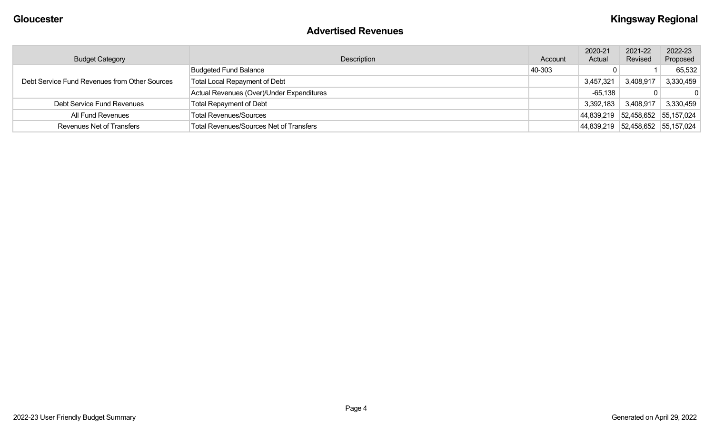#### **Advertised Revenues**

| <b>Budget Category</b>                        | Description                                    | Account | 2020-21<br>Actual | 2021-22<br>Revised               | 2022-23<br>Proposed |
|-----------------------------------------------|------------------------------------------------|---------|-------------------|----------------------------------|---------------------|
| Debt Service Fund Revenues from Other Sources | <b>Budgeted Fund Balance</b>                   | 40-303  |                   |                                  | 65,532              |
|                                               | <b>Total Local Repayment of Debt</b>           |         | 3,457,321         | 3,408,917                        | 3,330,459           |
|                                               | Actual Revenues (Over)/Under Expenditures      |         | $-65,138$         |                                  |                     |
| Debt Service Fund Revenues                    | <b>Total Repayment of Debt</b>                 |         | 3,392,183         | 3,408,917                        | 3,330,459           |
| All Fund Revenues                             | <b>Total Revenues/Sources</b>                  |         |                   | 44,839,219 52,458,652 55,157,024 |                     |
| <b>Revenues Net of Transfers</b>              | <b>Total Revenues/Sources Net of Transfers</b> |         |                   | 44,839,219 52,458,652 55,157,024 |                     |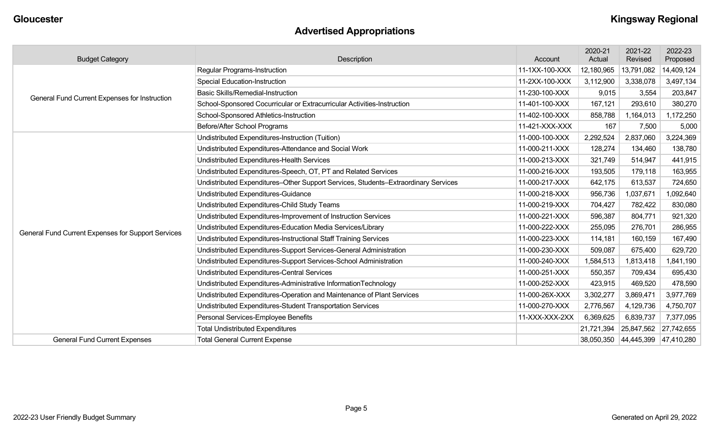# **Advertised Appropriations**

| <b>Budget Category</b>                             | Description                                                                        | Account        | 2020-21<br>Actual | 2021-22<br>Revised               | 2022-23<br>Proposed |
|----------------------------------------------------|------------------------------------------------------------------------------------|----------------|-------------------|----------------------------------|---------------------|
|                                                    | <b>Regular Programs-Instruction</b>                                                | 11-1XX-100-XXX | 12,180,965        | 13,791,082                       | 14,409,124          |
|                                                    | <b>Special Education-Instruction</b>                                               | 11-2XX-100-XXX | 3,112,900         | 3,338,078                        | 3,497,134           |
| General Fund Current Expenses for Instruction      | <b>Basic Skills/Remedial-Instruction</b>                                           | 11-230-100-XXX | 9,015             | 3,554                            | 203,847             |
|                                                    | School-Sponsored Cocurricular or Extracurricular Activities-Instruction            | 11-401-100-XXX | 167,121           | 293,610                          | 380,270             |
|                                                    | School-Sponsored Athletics-Instruction                                             | 11-402-100-XXX | 858,788           | 1,164,013                        | 1,172,250           |
|                                                    | Before/After School Programs                                                       | 11-421-XXX-XXX | 167               | 7,500                            | 5,000               |
|                                                    | Undistributed Expenditures-Instruction (Tuition)                                   | 11-000-100-XXX | 2,292,524         | 2,837,060                        | 3,224,369           |
|                                                    | Undistributed Expenditures-Attendance and Social Work                              | 11-000-211-XXX | 128,274           | 134,460                          | 138,780             |
|                                                    | Undistributed Expenditures-Health Services                                         | 11-000-213-XXX | 321,749           | 514,947                          | 441,915             |
|                                                    | Undistributed Expenditures-Speech, OT, PT and Related Services                     | 11-000-216-XXX | 193,505           | 179,118                          | 163,955             |
|                                                    | Undistributed Expenditures-Other Support Services, Students-Extraordinary Services | 11-000-217-XXX | 642,175           | 613,537                          | 724,650             |
|                                                    | Undistributed Expenditures-Guidance                                                | 11-000-218-XXX | 956,736           | 1,037,671                        | 1,092,640           |
|                                                    | Undistributed Expenditures-Child Study Teams                                       | 11-000-219-XXX | 704,427           | 782,422                          | 830,080             |
|                                                    | Undistributed Expenditures-Improvement of Instruction Services                     | 11-000-221-XXX | 596,387           | 804,771                          | 921,320             |
| General Fund Current Expenses for Support Services | Undistributed Expenditures-Education Media Services/Library                        | 11-000-222-XXX | 255,095           | 276,701                          | 286,955             |
|                                                    | Undistributed Expenditures-Instructional Staff Training Services                   | 11-000-223-XXX | 114,181           | 160,159                          | 167,490             |
|                                                    | Undistributed Expenditures-Support Services-General Administration                 | 11-000-230-XXX | 509,087           | 675,400                          | 629,720             |
|                                                    | Undistributed Expenditures-Support Services-School Administration                  | 11-000-240-XXX | 1,584,513         | 1,813,418                        | 1,841,190           |
|                                                    | <b>Undistributed Expenditures-Central Services</b>                                 | 11-000-251-XXX | 550,357           | 709,434                          | 695,430             |
|                                                    | Undistributed Expenditures-Administrative InformationTechnology                    | 11-000-252-XXX | 423,915           | 469,520                          | 478,590             |
|                                                    | Undistributed Expenditures-Operation and Maintenance of Plant Services             | 11-000-26X-XXX | 3,302,277         | 3,869,471                        | 3,977,769           |
|                                                    | Undistributed Expenditures-Student Transportation Services                         | 11-000-270-XXX | 2,776,567         | 4,129,736                        | 4,750,707           |
|                                                    | Personal Services-Employee Benefits                                                | 11-XXX-XXX-2XX | 6,369,625         | 6,839,737                        | 7,377,095           |
|                                                    | <b>Total Undistributed Expenditures</b>                                            |                | 21,721,394        | 25,847,562                       | 27,742,655          |
| <b>General Fund Current Expenses</b>               | <b>Total General Current Expense</b>                                               |                |                   | 38,050,350 44,445,399 47,410,280 |                     |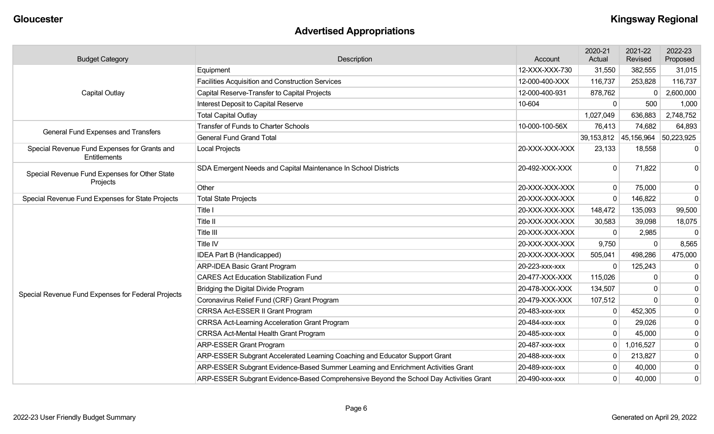# **Advertised Appropriations**

| <b>Budget Category</b>                                       | Description                                                                            | Account        | 2020-21<br>Actual | 2021-22<br>Revised    | 2022-23<br>Proposed |
|--------------------------------------------------------------|----------------------------------------------------------------------------------------|----------------|-------------------|-----------------------|---------------------|
|                                                              | Equipment                                                                              | 12-XXX-XXX-730 | 31,550            | 382,555               | 31,015              |
|                                                              | <b>Facilities Acquisition and Construction Services</b>                                | 12-000-400-XXX | 116,737           | 253,828               | 116,737             |
| <b>Capital Outlay</b>                                        | Capital Reserve-Transfer to Capital Projects                                           | 12-000-400-931 | 878,762           | $\Omega$              | 2,600,000           |
|                                                              | Interest Deposit to Capital Reserve                                                    | 10-604         | $\mathbf{0}$      | 500                   | 1,000               |
|                                                              | <b>Total Capital Outlay</b>                                                            |                | 1,027,049         | 636,883               | 2,748,752           |
| <b>General Fund Expenses and Transfers</b>                   | <b>Transfer of Funds to Charter Schools</b>                                            | 10-000-100-56X | 76,413            | 74,682                | 64,893              |
|                                                              | <b>General Fund Grand Total</b>                                                        |                |                   | 39,153,812 45,156,964 | 50,223,925          |
| Special Revenue Fund Expenses for Grants and<br>Entitlements | <b>Local Projects</b>                                                                  | 20-XXX-XXX-XXX | 23,133            | 18,558                | $\Omega$            |
| Special Revenue Fund Expenses for Other State                | SDA Emergent Needs and Capital Maintenance In School Districts                         | 20-492-XXX-XXX | 0                 | 71,822                | $\mathbf 0$         |
| Projects                                                     | Other                                                                                  | 20-XXX-XXX-XXX | 0                 | 75,000                | $\mathbf 0$         |
| Special Revenue Fund Expenses for State Projects             | <b>Total State Projects</b>                                                            | 20-XXX-XXX-XXX | $\Omega$          | 146,822               | $\mathbf 0$         |
|                                                              | Title I                                                                                | 20-XXX-XXX-XXX | 148,472           | 135,093               | 99,500              |
|                                                              | Title II                                                                               | 20-XXX-XXX-XXX | 30,583            | 39,098                | 18,075              |
|                                                              | Title III                                                                              | 20-XXX-XXX-XXX | 0                 | 2,985                 | $\Omega$            |
|                                                              | Title IV                                                                               | 20-XXX-XXX-XXX | 9,750             | $\Omega$              | 8,565               |
|                                                              | IDEA Part B (Handicapped)                                                              | 20-XXX-XXX-XXX | 505,041           | 498,286               | 475,000             |
|                                                              | <b>ARP-IDEA Basic Grant Program</b>                                                    | 20-223-xxx-xxx | 0                 | 125,243               | $\mathbf{0}$        |
|                                                              | <b>CARES Act Education Stabilization Fund</b>                                          | 20-477-XXX-XXX | 115,026           | $\Omega$              | $\mathbf{0}$        |
|                                                              | Bridging the Digital Divide Program                                                    | 20-478-XXX-XXX | 134,507           |                       | 0                   |
| Special Revenue Fund Expenses for Federal Projects           | Coronavirus Relief Fund (CRF) Grant Program                                            | 20-479-XXX-XXX | 107,512           |                       | $\mathbf 0$         |
|                                                              | CRRSA Act-ESSER II Grant Program                                                       | 20-483-xxx-xxx | 0                 | 452,305               | $\mathbf 0$         |
|                                                              | <b>CRRSA Act-Learning Acceleration Grant Program</b>                                   | 20-484-xxx-xxx | 0                 | 29,026                | $\mathbf 0$         |
|                                                              | <b>CRRSA Act-Mental Health Grant Program</b>                                           | 20-485-xxx-xxx | $\mathbf{0}$      | 45,000                | $\mathbf 0$         |
|                                                              | <b>ARP-ESSER Grant Program</b>                                                         | 20-487-xxx-xxx | 0                 | 1,016,527             | $\mathbf 0$         |
|                                                              | ARP-ESSER Subgrant Accelerated Learning Coaching and Educator Support Grant            | 20-488-XXX-XXX | $\mathbf{0}$      | 213,827               | $\mathbf 0$         |
|                                                              | ARP-ESSER Subgrant Evidence-Based Summer Learning and Enrichment Activities Grant      | 20-489-xxx-xxx | 0                 | 40,000                | $\mathbf 0$         |
|                                                              | ARP-ESSER Subgrant Evidence-Based Comprehensive Beyond the School Day Activities Grant | 20-490-xxx-xxx | 0                 | 40,000                | $\boldsymbol{0}$    |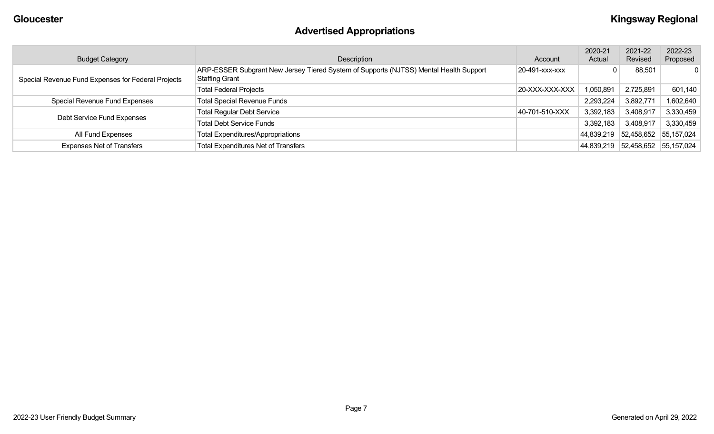# **Advertised Appropriations**

| <b>Budget Category</b>                             | Description                                                                                             | Account        | 2020-21<br>Actual | 2021-22<br>Revised    | 2022-23<br>Proposed |
|----------------------------------------------------|---------------------------------------------------------------------------------------------------------|----------------|-------------------|-----------------------|---------------------|
| Special Revenue Fund Expenses for Federal Projects | ARP-ESSER Subgrant New Jersey Tiered System of Supports (NJTSS) Mental Health Support<br>Staffing Grant | 20-491-xxx-xxx |                   | 88,501                | $\mathbf{0}$        |
|                                                    | <b>Total Federal Projects</b>                                                                           | 20-XXX-XXX-XXX | 1,050,891         | 2,725,891             | 601,140             |
| Special Revenue Fund Expenses                      | <b>Total Special Revenue Funds</b>                                                                      |                | 2,293,224         | 3,892,771             | 1,602,640           |
|                                                    | <b>Total Regular Debt Service</b>                                                                       | 40-701-510-XXX | 3,392,183         | 3,408,917             | 3,330,459           |
| Debt Service Fund Expenses                         | <b>Total Debt Service Funds</b>                                                                         |                | 3,392,183         | 3,408,917             | 3,330,459           |
| All Fund Expenses                                  | <b>Total Expenditures/Appropriations</b>                                                                |                | 44,839,219        | 52,458,652            | 55,157,024          |
| <b>Expenses Net of Transfers</b>                   | <b>Total Expenditures Net of Transfers</b>                                                              |                | 44,839,219        | 52,458,652 55,157,024 |                     |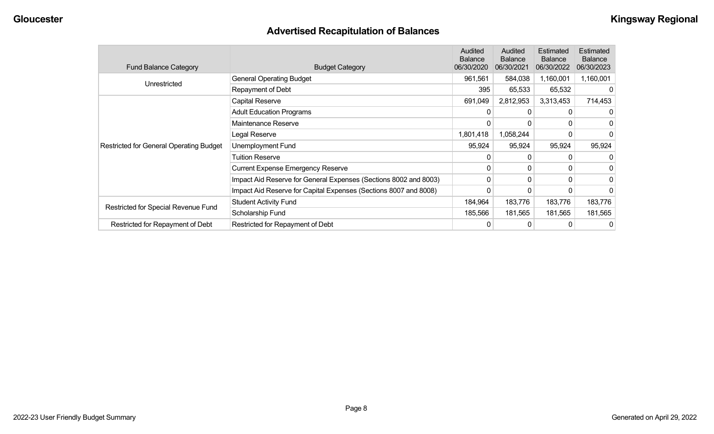# **Advertised Recapitulation of Balances**

| <b>Fund Balance Category</b>                   | <b>Budget Category</b>                                           | Audited<br><b>Balance</b><br>06/30/2020 | Audited<br><b>Balance</b><br>06/30/2021 | Estimated<br><b>Balance</b><br>06/30/2022 | Estimated<br><b>Balance</b><br>06/30/2023 |
|------------------------------------------------|------------------------------------------------------------------|-----------------------------------------|-----------------------------------------|-------------------------------------------|-------------------------------------------|
|                                                | <b>General Operating Budget</b>                                  | 961,561                                 | 584,038                                 | 1,160,001                                 | 1,160,001                                 |
| Unrestricted                                   | Repayment of Debt                                                | 395                                     | 65,533                                  | 65,532                                    |                                           |
|                                                | Capital Reserve                                                  | 691,049                                 | 2,812,953                               | 3,313,453                                 | 714,453                                   |
|                                                | <b>Adult Education Programs</b>                                  |                                         | 0                                       |                                           |                                           |
|                                                | Maintenance Reserve                                              | 0                                       | 0                                       | 0                                         |                                           |
|                                                | Legal Reserve                                                    | 1,801,418                               | 1,058,244                               | 0                                         |                                           |
| <b>Restricted for General Operating Budget</b> | Unemployment Fund                                                | 95,924                                  | 95,924                                  | 95,924                                    | 95,924                                    |
|                                                | Tuition Reserve                                                  | 0                                       | 0                                       |                                           |                                           |
|                                                | <b>Current Expense Emergency Reserve</b>                         | 0                                       | 0                                       | 0                                         |                                           |
|                                                | Impact Aid Reserve for General Expenses (Sections 8002 and 8003) | 0                                       | 0                                       | 0                                         | 0                                         |
|                                                | Impact Aid Reserve for Capital Expenses (Sections 8007 and 8008) | 0                                       | 0                                       |                                           |                                           |
| Restricted for Special Revenue Fund            | <b>Student Activity Fund</b>                                     | 184,964                                 | 183,776                                 | 183,776                                   | 183,776                                   |
|                                                | Scholarship Fund                                                 | 185,566                                 | 181,565                                 | 181,565                                   | 181,565                                   |
| Restricted for Repayment of Debt               | Restricted for Repayment of Debt                                 | 0                                       | 0                                       |                                           | 0                                         |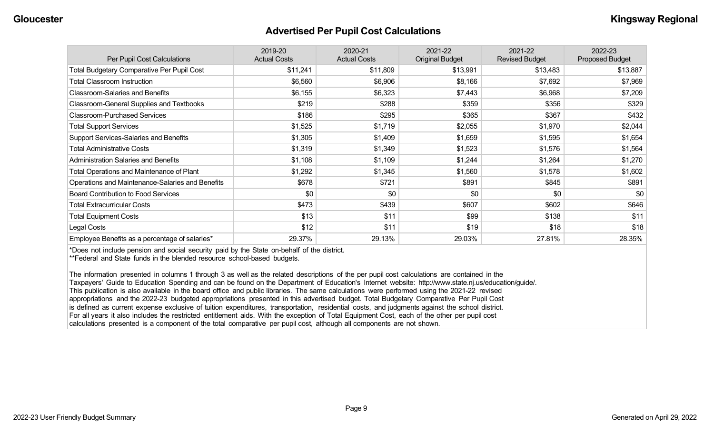#### **Advertised Per Pupil Cost Calculations**

| Per Pupil Cost Calculations                       | 2019-20<br><b>Actual Costs</b> | 2020-21<br><b>Actual Costs</b> | 2021-22<br><b>Original Budget</b> | 2021-22<br><b>Revised Budget</b> | 2022-23<br><b>Proposed Budget</b> |
|---------------------------------------------------|--------------------------------|--------------------------------|-----------------------------------|----------------------------------|-----------------------------------|
| <b>Total Budgetary Comparative Per Pupil Cost</b> | \$11,241                       | \$11,809                       | \$13,991                          | \$13,483                         | \$13,887                          |
| <b>Total Classroom Instruction</b>                | \$6,560                        | \$6,906                        | \$8,166                           | \$7,692                          | \$7,969                           |
| <b>Classroom-Salaries and Benefits</b>            | \$6,155                        | \$6,323                        | \$7,443                           | \$6,968                          | \$7,209                           |
| Classroom-General Supplies and Textbooks          | \$219                          | \$288                          | \$359                             | \$356                            | \$329                             |
| <b>Classroom-Purchased Services</b>               | \$186                          | \$295                          | \$365                             | \$367                            | \$432                             |
| <b>Total Support Services</b>                     | \$1,525                        | \$1,719                        | \$2,055                           | \$1,970                          | \$2,044                           |
| Support Services-Salaries and Benefits            | \$1,305                        | \$1,409                        | \$1,659                           | \$1,595                          | \$1,654                           |
| <b>Total Administrative Costs</b>                 | \$1,319                        | \$1,349                        | \$1,523                           | \$1,576                          | \$1,564                           |
| <b>Administration Salaries and Benefits</b>       | \$1,108                        | \$1,109                        | \$1,244                           | \$1,264                          | \$1,270                           |
| Total Operations and Maintenance of Plant         | \$1,292                        | \$1,345                        | \$1,560                           | \$1,578                          | \$1,602                           |
| Operations and Maintenance-Salaries and Benefits  | \$678                          | \$721                          | \$891                             | \$845                            | \$891                             |
| <b>Board Contribution to Food Services</b>        | \$0                            | \$0                            | \$0                               | \$0                              | \$0                               |
| <b>Total Extracurricular Costs</b>                | \$473                          | \$439                          | \$607                             | \$602                            | \$646                             |
| <b>Total Equipment Costs</b>                      | \$13                           | \$11                           | \$99                              | \$138                            | \$11                              |
| Legal Costs                                       | \$12                           | \$11                           | \$19                              | \$18                             | \$18                              |
| Employee Benefits as a percentage of salaries*    | 29.37%                         | 29.13%                         | 29.03%                            | 27.81%                           | 28.35%                            |

\*Does not include pension and social security paid by the State on-behalf of the district.

\*\*Federal and State funds in the blended resource school-based budgets.

The information presented in columns 1 through 3 as well as the related descriptions of the per pupil cost calculations are contained in the Taxpayers' Guide to Education Spending and can be found on the Department of Education's Internet website: http://www.state.nj.us/education/guide/. This publication is also available in the board office and public libraries. The same calculations were performed using the 2021-22 revised appropriations and the 2022-23 budgeted appropriations presented in this advertised budget. Total Budgetary Comparative Per Pupil Cost is defined as current expense exclusive of tuition expenditures, transportation, residential costs, and judgments against the school district. For all years it also includes the restricted entitlement aids. With the exception of Total Equipment Cost, each of the other per pupil cost calculations presented is a component of the total comparative per pupil cost, although all components are not shown.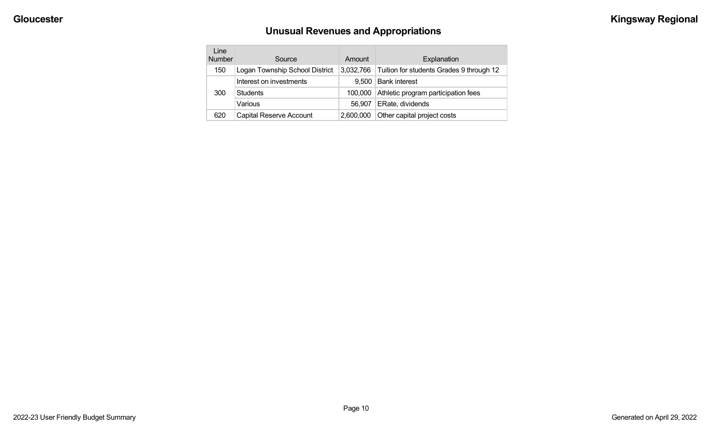# **Unusual Revenues and Appropriations**

| Line<br><b>Number</b> | Source                         | Amount    | Explanation                              |
|-----------------------|--------------------------------|-----------|------------------------------------------|
| 150                   | Logan Township School District | 3,032,766 | Tuition for students Grades 9 through 12 |
|                       | Interest on investments        | 9.500     | <b>Bank interest</b>                     |
| 300                   | <b>Students</b>                | 100,000   | Athletic program participation fees      |
|                       | Various                        | 56.907    | ERate, dividends                         |
| 620                   | <b>Capital Reserve Account</b> | 2.600.000 | Other capital project costs              |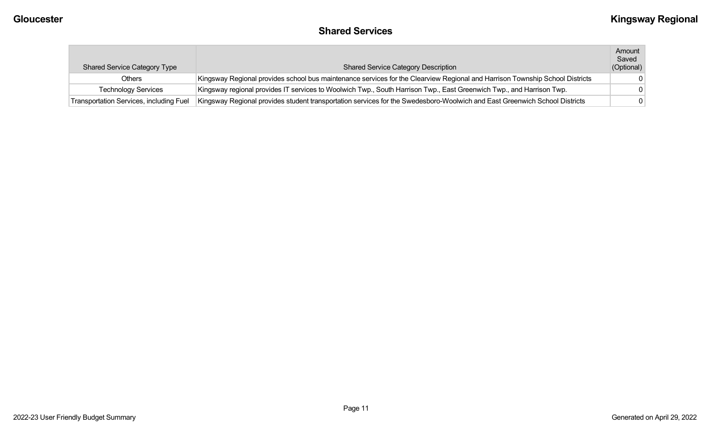#### **Shared Services**

| <b>Shared Service Category Type</b>     | <b>Shared Service Category Description</b>                                                                                   | Amount<br>Saved<br>(Optional) |
|-----------------------------------------|------------------------------------------------------------------------------------------------------------------------------|-------------------------------|
| Others                                  | Kingsway Regional provides school bus maintenance services for the Clearview Regional and Harrison Township School Districts |                               |
| <b>Technology Services</b>              | Kingsway regional provides IT services to Woolwich Twp., South Harrison Twp., East Greenwich Twp., and Harrison Twp.         |                               |
| Transportation Services, including Fuel | Kingsway Regional provides student transportation services for the Swedesboro-Woolwich and East Greenwich School Districts   |                               |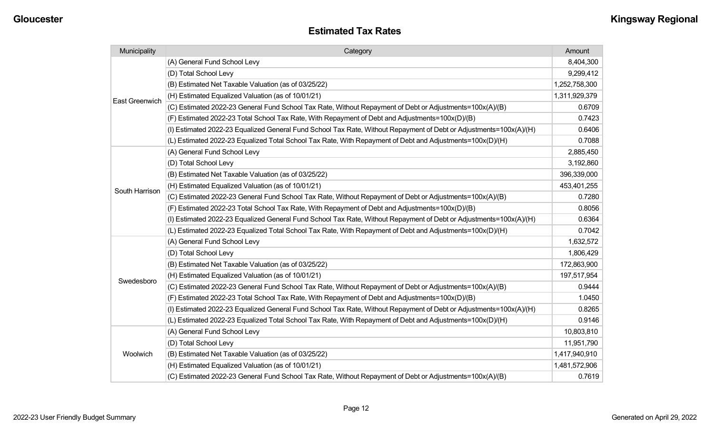| Municipality          | Category                                                                                                           | Amount        |
|-----------------------|--------------------------------------------------------------------------------------------------------------------|---------------|
|                       | (A) General Fund School Levy                                                                                       | 8,404,300     |
|                       | (D) Total School Levy                                                                                              | 9,299,412     |
|                       | (B) Estimated Net Taxable Valuation (as of 03/25/22)                                                               | 1,252,758,300 |
| <b>East Greenwich</b> | (H) Estimated Equalized Valuation (as of 10/01/21)                                                                 | 1,311,929,379 |
|                       | (C) Estimated 2022-23 General Fund School Tax Rate, Without Repayment of Debt or Adjustments=100x(A)/(B)           | 0.6709        |
|                       | (F) Estimated 2022-23 Total School Tax Rate, With Repayment of Debt and Adjustments=100x(D)/(B)                    | 0.7423        |
|                       | (I) Estimated 2022-23 Equalized General Fund School Tax Rate, Without Repayment of Debt or Adjustments=100x(A)/(H) | 0.6406        |
|                       | (L) Estimated 2022-23 Equalized Total School Tax Rate, With Repayment of Debt and Adjustments=100x(D)/(H)          | 0.7088        |
|                       | (A) General Fund School Levy                                                                                       | 2,885,450     |
|                       | (D) Total School Levy                                                                                              | 3,192,860     |
|                       | (B) Estimated Net Taxable Valuation (as of 03/25/22)                                                               | 396,339,000   |
| South Harrison        | (H) Estimated Equalized Valuation (as of 10/01/21)                                                                 | 453,401,255   |
|                       | (C) Estimated 2022-23 General Fund School Tax Rate, Without Repayment of Debt or Adjustments=100x(A)/(B)           | 0.7280        |
|                       | (F) Estimated 2022-23 Total School Tax Rate, With Repayment of Debt and Adjustments=100x(D)/(B)                    | 0.8056        |
|                       | (I) Estimated 2022-23 Equalized General Fund School Tax Rate, Without Repayment of Debt or Adjustments=100x(A)/(H) | 0.6364        |
|                       | (L) Estimated 2022-23 Equalized Total School Tax Rate, With Repayment of Debt and Adjustments=100x(D)/(H)          | 0.7042        |
|                       | (A) General Fund School Levy                                                                                       | 1,632,572     |
|                       | (D) Total School Levy                                                                                              | 1,806,429     |
|                       | (B) Estimated Net Taxable Valuation (as of 03/25/22)                                                               | 172,863,900   |
| Swedesboro            | (H) Estimated Equalized Valuation (as of 10/01/21)                                                                 | 197,517,954   |
|                       | (C) Estimated 2022-23 General Fund School Tax Rate, Without Repayment of Debt or Adjustments=100x(A)/(B)           | 0.9444        |
|                       | (F) Estimated 2022-23 Total School Tax Rate, With Repayment of Debt and Adjustments=100x(D)/(B)                    | 1.0450        |
|                       | (I) Estimated 2022-23 Equalized General Fund School Tax Rate, Without Repayment of Debt or Adjustments=100x(A)/(H) | 0.8265        |
|                       | (L) Estimated 2022-23 Equalized Total School Tax Rate, With Repayment of Debt and Adjustments=100x(D)/(H)          | 0.9146        |
|                       | (A) General Fund School Levy                                                                                       | 10,803,810    |
|                       | (D) Total School Levy                                                                                              | 11,951,790    |
| Woolwich              | (B) Estimated Net Taxable Valuation (as of 03/25/22)                                                               | 1,417,940,910 |
|                       | (H) Estimated Equalized Valuation (as of 10/01/21)                                                                 | 1,481,572,906 |
|                       | (C) Estimated 2022-23 General Fund School Tax Rate, Without Repayment of Debt or Adjustments=100x(A)/(B)           | 0.7619        |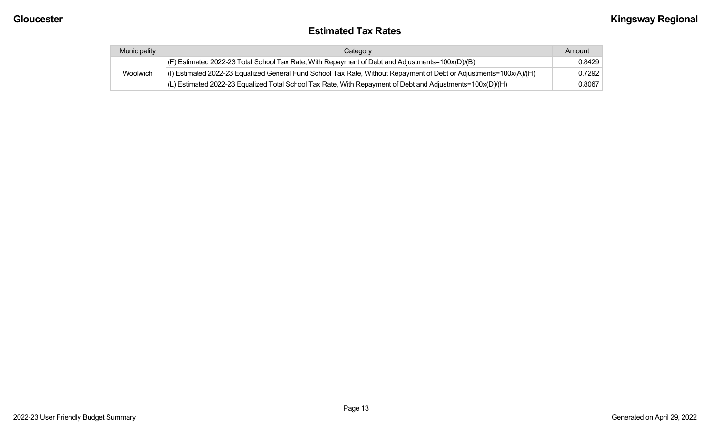#### **Estimated Tax Rates**

| Municipality | Category                                                                                                           | Amount |
|--------------|--------------------------------------------------------------------------------------------------------------------|--------|
| Woolwich     | $ $ (F) Estimated 2022-23 Total School Tax Rate, With Repayment of Debt and Adjustments=100x(D)/(B)                | 0.8429 |
|              | (I) Estimated 2022-23 Equalized General Fund School Tax Rate, Without Repayment of Debt or Adjustments=100x(A)/(H) | 0.7292 |
|              | $(L)$ Estimated 2022-23 Equalized Total School Tax Rate, With Repayment of Debt and Adjustments=100x(D)/(H)        | 0.8067 |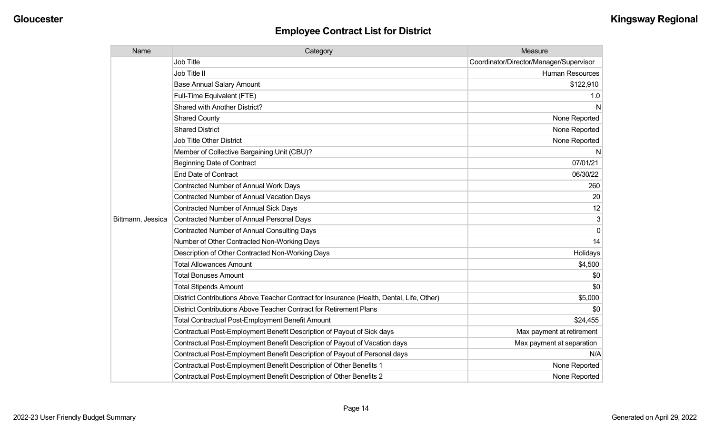| Name              | Category                                                                                  | Measure                                 |
|-------------------|-------------------------------------------------------------------------------------------|-----------------------------------------|
|                   | Job Title                                                                                 | Coordinator/Director/Manager/Supervisor |
|                   | Job Title II                                                                              | <b>Human Resources</b>                  |
|                   | <b>Base Annual Salary Amount</b>                                                          | \$122,910                               |
|                   | Full-Time Equivalent (FTE)                                                                | 1.0                                     |
|                   | Shared with Another District?                                                             | N                                       |
|                   | <b>Shared County</b>                                                                      | None Reported                           |
|                   | <b>Shared District</b>                                                                    | None Reported                           |
|                   | <b>Job Title Other District</b>                                                           | None Reported                           |
|                   | Member of Collective Bargaining Unit (CBU)?                                               | <sub>N</sub>                            |
|                   | <b>Beginning Date of Contract</b>                                                         | 07/01/21                                |
|                   | <b>End Date of Contract</b>                                                               | 06/30/22                                |
|                   | Contracted Number of Annual Work Days                                                     | 260                                     |
|                   | <b>Contracted Number of Annual Vacation Days</b>                                          | 20                                      |
|                   | Contracted Number of Annual Sick Days                                                     | 12                                      |
| Bittmann, Jessica | <b>Contracted Number of Annual Personal Days</b>                                          | 3                                       |
|                   | <b>Contracted Number of Annual Consulting Days</b>                                        | $\Omega$                                |
|                   | Number of Other Contracted Non-Working Days                                               | 14                                      |
|                   | Description of Other Contracted Non-Working Days                                          | Holidays                                |
|                   | <b>Total Allowances Amount</b>                                                            | \$4,500                                 |
|                   | <b>Total Bonuses Amount</b>                                                               | \$0                                     |
|                   | <b>Total Stipends Amount</b>                                                              | \$0                                     |
|                   | District Contributions Above Teacher Contract for Insurance (Health, Dental, Life, Other) | \$5,000                                 |
|                   | District Contributions Above Teacher Contract for Retirement Plans                        | \$0                                     |
|                   | <b>Total Contractual Post-Employment Benefit Amount</b>                                   | \$24,455                                |
|                   | Contractual Post-Employment Benefit Description of Payout of Sick days                    | Max payment at retirement               |
|                   | Contractual Post-Employment Benefit Description of Payout of Vacation days                | Max payment at separation               |
|                   | Contractual Post-Employment Benefit Description of Payout of Personal days                | N/A                                     |
|                   | Contractual Post-Employment Benefit Description of Other Benefits 1                       | None Reported                           |
|                   | Contractual Post-Employment Benefit Description of Other Benefits 2                       | None Reported                           |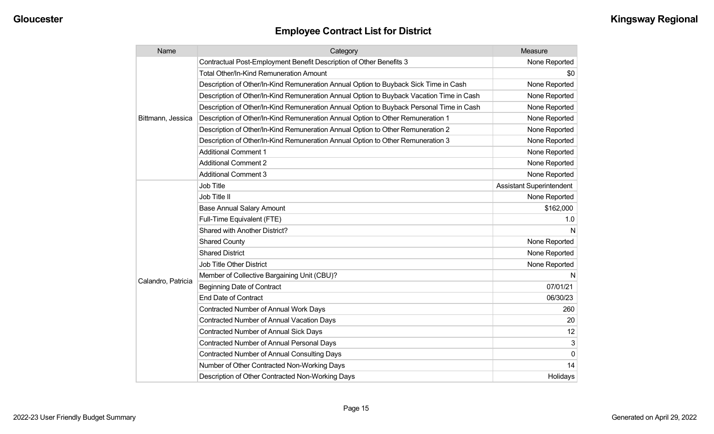| Name               | Category                                                                                 | Measure                         |
|--------------------|------------------------------------------------------------------------------------------|---------------------------------|
|                    | Contractual Post-Employment Benefit Description of Other Benefits 3                      | None Reported                   |
|                    | <b>Total Other/In-Kind Remuneration Amount</b>                                           | \$0                             |
|                    | Description of Other/In-Kind Remuneration Annual Option to Buyback Sick Time in Cash     | None Reported                   |
|                    | Description of Other/In-Kind Remuneration Annual Option to Buyback Vacation Time in Cash | None Reported                   |
|                    | Description of Other/In-Kind Remuneration Annual Option to Buyback Personal Time in Cash | None Reported                   |
| Bittmann, Jessica  | Description of Other/In-Kind Remuneration Annual Option to Other Remuneration 1          | None Reported                   |
|                    | Description of Other/In-Kind Remuneration Annual Option to Other Remuneration 2          | None Reported                   |
|                    | Description of Other/In-Kind Remuneration Annual Option to Other Remuneration 3          | None Reported                   |
|                    | <b>Additional Comment 1</b>                                                              | None Reported                   |
|                    | <b>Additional Comment 2</b>                                                              | None Reported                   |
|                    | <b>Additional Comment 3</b>                                                              | None Reported                   |
|                    | <b>Job Title</b>                                                                         | <b>Assistant Superintendent</b> |
|                    | Job Title II                                                                             | None Reported                   |
|                    | <b>Base Annual Salary Amount</b>                                                         | \$162,000                       |
|                    | Full-Time Equivalent (FTE)                                                               | 1.0                             |
|                    | Shared with Another District?                                                            | N                               |
|                    | <b>Shared County</b>                                                                     | None Reported                   |
|                    | <b>Shared District</b>                                                                   | None Reported                   |
|                    | <b>Job Title Other District</b>                                                          | None Reported                   |
|                    | Member of Collective Bargaining Unit (CBU)?                                              | N                               |
| Calandro, Patricia | <b>Beginning Date of Contract</b>                                                        | 07/01/21                        |
|                    | <b>End Date of Contract</b>                                                              | 06/30/23                        |
|                    | <b>Contracted Number of Annual Work Days</b>                                             | 260                             |
|                    | <b>Contracted Number of Annual Vacation Days</b>                                         | 20                              |
|                    | <b>Contracted Number of Annual Sick Days</b>                                             | 12                              |
|                    | <b>Contracted Number of Annual Personal Days</b>                                         | 3                               |
|                    | Contracted Number of Annual Consulting Days                                              | $\Omega$                        |
|                    | Number of Other Contracted Non-Working Days                                              | 14                              |
|                    | Description of Other Contracted Non-Working Days                                         | Holidays                        |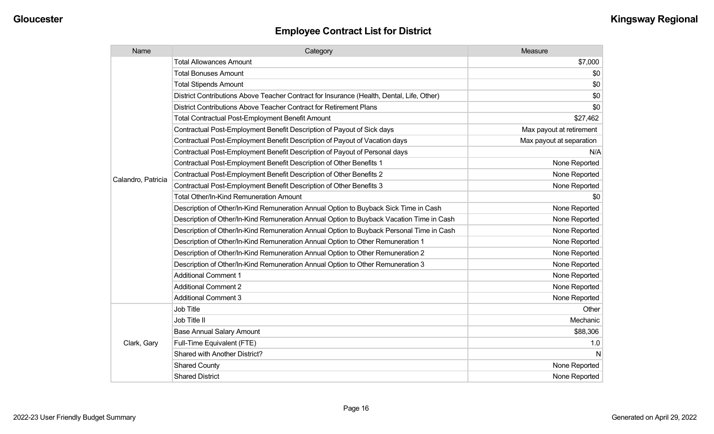| Name               | Category                                                                                  | Measure                  |
|--------------------|-------------------------------------------------------------------------------------------|--------------------------|
|                    | <b>Total Allowances Amount</b>                                                            | \$7,000                  |
|                    | <b>Total Bonuses Amount</b>                                                               | \$0                      |
|                    | <b>Total Stipends Amount</b>                                                              | \$0                      |
|                    | District Contributions Above Teacher Contract for Insurance (Health, Dental, Life, Other) | \$0                      |
|                    | District Contributions Above Teacher Contract for Retirement Plans                        | \$0                      |
|                    | <b>Total Contractual Post-Employment Benefit Amount</b>                                   | \$27,462                 |
|                    | Contractual Post-Employment Benefit Description of Payout of Sick days                    | Max payout at retirement |
|                    | Contractual Post-Employment Benefit Description of Payout of Vacation days                | Max payout at separation |
|                    | Contractual Post-Employment Benefit Description of Payout of Personal days                | N/A                      |
|                    | Contractual Post-Employment Benefit Description of Other Benefits 1                       | None Reported            |
| Calandro, Patricia | Contractual Post-Employment Benefit Description of Other Benefits 2                       | None Reported            |
|                    | Contractual Post-Employment Benefit Description of Other Benefits 3                       | None Reported            |
|                    | <b>Total Other/In-Kind Remuneration Amount</b>                                            | \$0                      |
|                    | Description of Other/In-Kind Remuneration Annual Option to Buyback Sick Time in Cash      | None Reported            |
|                    | Description of Other/In-Kind Remuneration Annual Option to Buyback Vacation Time in Cash  | None Reported            |
|                    | Description of Other/In-Kind Remuneration Annual Option to Buyback Personal Time in Cash  | None Reported            |
|                    | Description of Other/In-Kind Remuneration Annual Option to Other Remuneration 1           | None Reported            |
|                    | Description of Other/In-Kind Remuneration Annual Option to Other Remuneration 2           | None Reported            |
|                    | Description of Other/In-Kind Remuneration Annual Option to Other Remuneration 3           | None Reported            |
|                    | <b>Additional Comment 1</b>                                                               | None Reported            |
|                    | <b>Additional Comment 2</b>                                                               | None Reported            |
|                    | <b>Additional Comment 3</b>                                                               | None Reported            |
|                    | Job Title                                                                                 | Other                    |
| Clark, Gary        | Job Title II                                                                              | Mechanic                 |
|                    | <b>Base Annual Salary Amount</b>                                                          | \$88,306                 |
|                    | Full-Time Equivalent (FTE)                                                                | 1.0                      |
|                    | Shared with Another District?                                                             | N                        |
|                    | <b>Shared County</b>                                                                      | None Reported            |
|                    | <b>Shared District</b>                                                                    | None Reported            |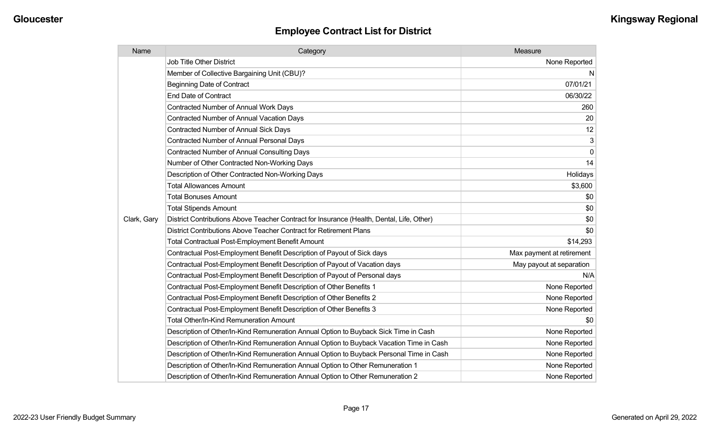| Name        | Category                                                                                  | Measure                   |
|-------------|-------------------------------------------------------------------------------------------|---------------------------|
|             | <b>Job Title Other District</b>                                                           | None Reported             |
|             | Member of Collective Bargaining Unit (CBU)?                                               | N                         |
|             | <b>Beginning Date of Contract</b>                                                         | 07/01/21                  |
|             | <b>End Date of Contract</b>                                                               | 06/30/22                  |
|             | Contracted Number of Annual Work Days                                                     | 260                       |
|             | <b>Contracted Number of Annual Vacation Days</b>                                          | 20                        |
|             | <b>Contracted Number of Annual Sick Days</b>                                              | 12                        |
|             | <b>Contracted Number of Annual Personal Days</b>                                          | 3                         |
|             | <b>Contracted Number of Annual Consulting Days</b>                                        | $\pmb{0}$                 |
|             | Number of Other Contracted Non-Working Days                                               | 14                        |
|             | Description of Other Contracted Non-Working Days                                          | Holidays                  |
|             | <b>Total Allowances Amount</b>                                                            | \$3,600                   |
|             | <b>Total Bonuses Amount</b>                                                               | \$0                       |
|             | <b>Total Stipends Amount</b>                                                              | \$0                       |
| Clark, Gary | District Contributions Above Teacher Contract for Insurance (Health, Dental, Life, Other) | \$0                       |
|             | District Contributions Above Teacher Contract for Retirement Plans                        | \$0                       |
|             | <b>Total Contractual Post-Employment Benefit Amount</b>                                   | \$14,293                  |
|             | Contractual Post-Employment Benefit Description of Payout of Sick days                    | Max payment at retirement |
|             | Contractual Post-Employment Benefit Description of Payout of Vacation days                | May payout at separation  |
|             | Contractual Post-Employment Benefit Description of Payout of Personal days                | N/A                       |
|             | Contractual Post-Employment Benefit Description of Other Benefits 1                       | None Reported             |
|             | Contractual Post-Employment Benefit Description of Other Benefits 2                       | None Reported             |
|             | Contractual Post-Employment Benefit Description of Other Benefits 3                       | None Reported             |
|             | <b>Total Other/In-Kind Remuneration Amount</b>                                            | \$0                       |
|             | Description of Other/In-Kind Remuneration Annual Option to Buyback Sick Time in Cash      | None Reported             |
|             | Description of Other/In-Kind Remuneration Annual Option to Buyback Vacation Time in Cash  | None Reported             |
|             | Description of Other/In-Kind Remuneration Annual Option to Buyback Personal Time in Cash  | None Reported             |
|             | Description of Other/In-Kind Remuneration Annual Option to Other Remuneration 1           | None Reported             |
|             | Description of Other/In-Kind Remuneration Annual Option to Other Remuneration 2           | None Reported             |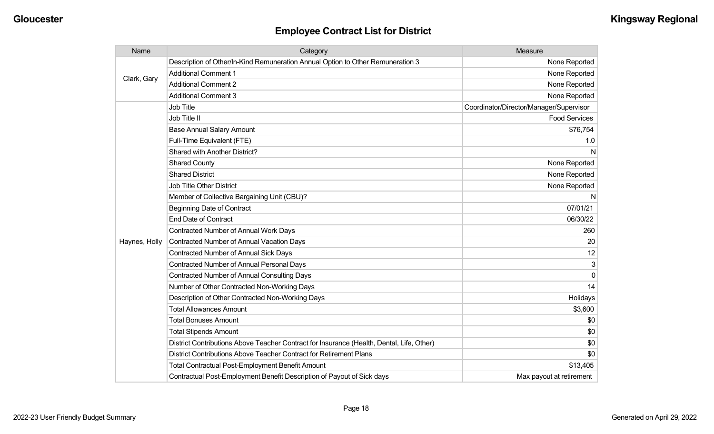| Name          | Category                                                                                  | Measure                                 |
|---------------|-------------------------------------------------------------------------------------------|-----------------------------------------|
| Clark, Gary   | Description of Other/In-Kind Remuneration Annual Option to Other Remuneration 3           | None Reported                           |
|               | <b>Additional Comment 1</b>                                                               | None Reported                           |
|               | <b>Additional Comment 2</b>                                                               | None Reported                           |
|               | <b>Additional Comment 3</b>                                                               | None Reported                           |
|               | Job Title                                                                                 | Coordinator/Director/Manager/Supervisor |
|               | Job Title II                                                                              | <b>Food Services</b>                    |
|               | <b>Base Annual Salary Amount</b>                                                          | \$76,754                                |
|               | Full-Time Equivalent (FTE)                                                                | 1.0                                     |
|               | Shared with Another District?                                                             | N                                       |
|               | <b>Shared County</b>                                                                      | None Reported                           |
|               | <b>Shared District</b>                                                                    | None Reported                           |
|               | Job Title Other District                                                                  | None Reported                           |
|               | Member of Collective Bargaining Unit (CBU)?                                               | N                                       |
|               | <b>Beginning Date of Contract</b>                                                         | 07/01/21                                |
|               | <b>End Date of Contract</b>                                                               | 06/30/22                                |
|               | Contracted Number of Annual Work Days                                                     | 260                                     |
| Haynes, Holly | <b>Contracted Number of Annual Vacation Days</b>                                          | 20                                      |
|               | Contracted Number of Annual Sick Days                                                     | 12                                      |
|               | Contracted Number of Annual Personal Days                                                 | 3                                       |
|               | <b>Contracted Number of Annual Consulting Days</b>                                        | $\Omega$                                |
|               | Number of Other Contracted Non-Working Days                                               | 14                                      |
|               | Description of Other Contracted Non-Working Days                                          | Holidays                                |
|               | <b>Total Allowances Amount</b>                                                            | \$3,600                                 |
|               | <b>Total Bonuses Amount</b>                                                               | \$0                                     |
|               | <b>Total Stipends Amount</b>                                                              | \$0                                     |
|               | District Contributions Above Teacher Contract for Insurance (Health, Dental, Life, Other) | \$0                                     |
|               | District Contributions Above Teacher Contract for Retirement Plans                        | \$0                                     |
|               | Total Contractual Post-Employment Benefit Amount                                          | \$13,405                                |
|               | Contractual Post-Employment Benefit Description of Payout of Sick days                    | Max payout at retirement                |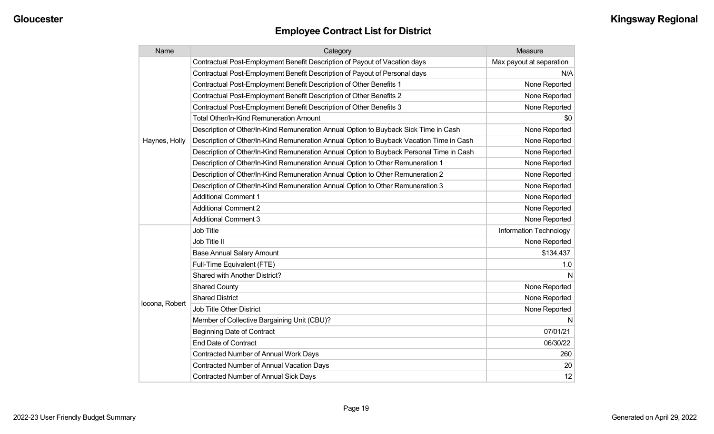| Name           | Category                                                                                 | Measure                  |
|----------------|------------------------------------------------------------------------------------------|--------------------------|
|                | Contractual Post-Employment Benefit Description of Payout of Vacation days               | Max payout at separation |
|                | Contractual Post-Employment Benefit Description of Payout of Personal days               | N/A                      |
|                | Contractual Post-Employment Benefit Description of Other Benefits 1                      | None Reported            |
|                | Contractual Post-Employment Benefit Description of Other Benefits 2                      | None Reported            |
|                | Contractual Post-Employment Benefit Description of Other Benefits 3                      | None Reported            |
|                | <b>Total Other/In-Kind Remuneration Amount</b>                                           | \$0                      |
|                | Description of Other/In-Kind Remuneration Annual Option to Buyback Sick Time in Cash     | None Reported            |
| Haynes, Holly  | Description of Other/In-Kind Remuneration Annual Option to Buyback Vacation Time in Cash | None Reported            |
|                | Description of Other/In-Kind Remuneration Annual Option to Buyback Personal Time in Cash | None Reported            |
|                | Description of Other/In-Kind Remuneration Annual Option to Other Remuneration 1          | None Reported            |
|                | Description of Other/In-Kind Remuneration Annual Option to Other Remuneration 2          | None Reported            |
|                | Description of Other/In-Kind Remuneration Annual Option to Other Remuneration 3          | None Reported            |
|                | <b>Additional Comment 1</b>                                                              | None Reported            |
|                | <b>Additional Comment 2</b>                                                              | None Reported            |
|                | <b>Additional Comment 3</b>                                                              | None Reported            |
|                | <b>Job Title</b>                                                                         | Information Technology   |
|                | Job Title II                                                                             | None Reported            |
|                | <b>Base Annual Salary Amount</b>                                                         | \$134,437                |
|                | Full-Time Equivalent (FTE)                                                               | 1.0                      |
|                | <b>Shared with Another District?</b>                                                     | N                        |
|                | <b>Shared County</b>                                                                     | None Reported            |
|                | <b>Shared District</b>                                                                   | None Reported            |
| locona, Robert | <b>Job Title Other District</b>                                                          | None Reported            |
|                | Member of Collective Bargaining Unit (CBU)?                                              | N                        |
|                | <b>Beginning Date of Contract</b>                                                        | 07/01/21                 |
|                | <b>End Date of Contract</b>                                                              | 06/30/22                 |
|                | Contracted Number of Annual Work Days                                                    | 260                      |
|                | <b>Contracted Number of Annual Vacation Days</b>                                         | 20                       |
|                | Contracted Number of Annual Sick Days                                                    | 12                       |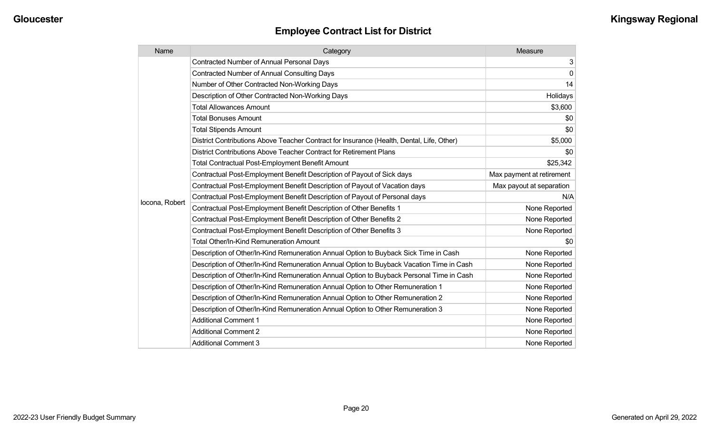| Name           | Category                                                                                  | Measure                   |
|----------------|-------------------------------------------------------------------------------------------|---------------------------|
|                | <b>Contracted Number of Annual Personal Days</b>                                          | $\mathbf{3}$              |
|                | <b>Contracted Number of Annual Consulting Days</b>                                        | 0                         |
|                | Number of Other Contracted Non-Working Days                                               | 14                        |
|                | Description of Other Contracted Non-Working Days                                          | Holidays                  |
|                | <b>Total Allowances Amount</b>                                                            | \$3,600                   |
|                | <b>Total Bonuses Amount</b>                                                               | \$0                       |
|                | <b>Total Stipends Amount</b>                                                              | \$0                       |
|                | District Contributions Above Teacher Contract for Insurance (Health, Dental, Life, Other) | \$5,000                   |
|                | District Contributions Above Teacher Contract for Retirement Plans                        | \$0                       |
|                | <b>Total Contractual Post-Employment Benefit Amount</b>                                   | \$25,342                  |
|                | Contractual Post-Employment Benefit Description of Payout of Sick days                    | Max payment at retirement |
|                | Contractual Post-Employment Benefit Description of Payout of Vacation days                | Max payout at separation  |
| locona, Robert | Contractual Post-Employment Benefit Description of Payout of Personal days                | N/A                       |
|                | Contractual Post-Employment Benefit Description of Other Benefits 1                       | None Reported             |
|                | Contractual Post-Employment Benefit Description of Other Benefits 2                       | None Reported             |
|                | Contractual Post-Employment Benefit Description of Other Benefits 3                       | None Reported             |
|                | <b>Total Other/In-Kind Remuneration Amount</b>                                            | \$0                       |
|                | Description of Other/In-Kind Remuneration Annual Option to Buyback Sick Time in Cash      | None Reported             |
|                | Description of Other/In-Kind Remuneration Annual Option to Buyback Vacation Time in Cash  | None Reported             |
|                | Description of Other/In-Kind Remuneration Annual Option to Buyback Personal Time in Cash  | None Reported             |
|                | Description of Other/In-Kind Remuneration Annual Option to Other Remuneration 1           | None Reported             |
|                | Description of Other/In-Kind Remuneration Annual Option to Other Remuneration 2           | None Reported             |
|                | Description of Other/In-Kind Remuneration Annual Option to Other Remuneration 3           | None Reported             |
|                | <b>Additional Comment 1</b>                                                               | None Reported             |
|                | <b>Additional Comment 2</b>                                                               | None Reported             |
|                | <b>Additional Comment 3</b>                                                               | None Reported             |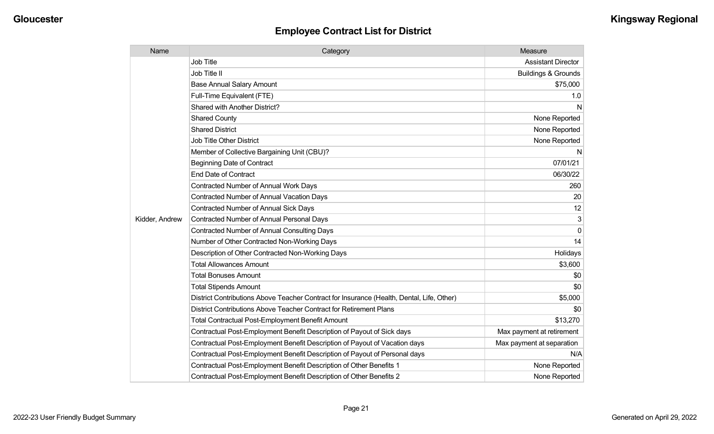| Name           | Category                                                                                  | Measure                        |
|----------------|-------------------------------------------------------------------------------------------|--------------------------------|
|                | <b>Job Title</b>                                                                          | <b>Assistant Director</b>      |
|                | Job Title II                                                                              | <b>Buildings &amp; Grounds</b> |
|                | <b>Base Annual Salary Amount</b>                                                          | \$75,000                       |
|                | Full-Time Equivalent (FTE)                                                                | 1.0                            |
|                | Shared with Another District?                                                             | N                              |
|                | <b>Shared County</b>                                                                      | None Reported                  |
|                | <b>Shared District</b>                                                                    | None Reported                  |
|                | <b>Job Title Other District</b>                                                           | None Reported                  |
|                | Member of Collective Bargaining Unit (CBU)?                                               | N                              |
|                | <b>Beginning Date of Contract</b>                                                         | 07/01/21                       |
|                | <b>End Date of Contract</b>                                                               | 06/30/22                       |
|                | <b>Contracted Number of Annual Work Days</b>                                              | 260                            |
|                | <b>Contracted Number of Annual Vacation Days</b>                                          | 20                             |
|                | <b>Contracted Number of Annual Sick Days</b>                                              | 12                             |
| Kidder, Andrew | Contracted Number of Annual Personal Days                                                 | 3                              |
|                | <b>Contracted Number of Annual Consulting Days</b>                                        | $\Omega$                       |
|                | Number of Other Contracted Non-Working Days                                               | 14                             |
|                | Description of Other Contracted Non-Working Days                                          | Holidays                       |
|                | <b>Total Allowances Amount</b>                                                            | \$3,600                        |
|                | <b>Total Bonuses Amount</b>                                                               | \$0                            |
|                | <b>Total Stipends Amount</b>                                                              | \$0                            |
|                | District Contributions Above Teacher Contract for Insurance (Health, Dental, Life, Other) | \$5,000                        |
|                | District Contributions Above Teacher Contract for Retirement Plans                        | \$0                            |
|                | <b>Total Contractual Post-Employment Benefit Amount</b>                                   | \$13,270                       |
|                | Contractual Post-Employment Benefit Description of Payout of Sick days                    | Max payment at retirement      |
|                | Contractual Post-Employment Benefit Description of Payout of Vacation days                | Max payment at separation      |
|                | Contractual Post-Employment Benefit Description of Payout of Personal days                | N/A                            |
|                | Contractual Post-Employment Benefit Description of Other Benefits 1                       | None Reported                  |
|                | Contractual Post-Employment Benefit Description of Other Benefits 2                       | None Reported                  |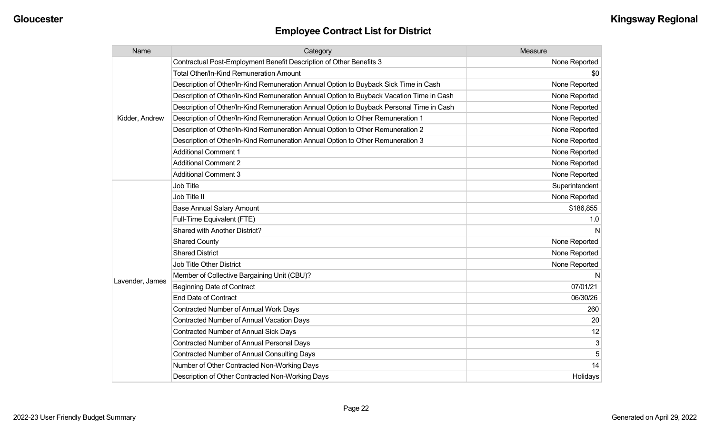| Name            | Category                                                                                 | Measure        |
|-----------------|------------------------------------------------------------------------------------------|----------------|
|                 | Contractual Post-Employment Benefit Description of Other Benefits 3                      | None Reported  |
|                 | <b>Total Other/In-Kind Remuneration Amount</b>                                           | \$0            |
|                 | Description of Other/In-Kind Remuneration Annual Option to Buyback Sick Time in Cash     | None Reported  |
|                 | Description of Other/In-Kind Remuneration Annual Option to Buyback Vacation Time in Cash | None Reported  |
|                 | Description of Other/In-Kind Remuneration Annual Option to Buyback Personal Time in Cash | None Reported  |
| Kidder, Andrew  | Description of Other/In-Kind Remuneration Annual Option to Other Remuneration 1          | None Reported  |
|                 | Description of Other/In-Kind Remuneration Annual Option to Other Remuneration 2          | None Reported  |
|                 | Description of Other/In-Kind Remuneration Annual Option to Other Remuneration 3          | None Reported  |
|                 | <b>Additional Comment 1</b>                                                              | None Reported  |
|                 | <b>Additional Comment 2</b>                                                              | None Reported  |
|                 | <b>Additional Comment 3</b>                                                              | None Reported  |
|                 | <b>Job Title</b>                                                                         | Superintendent |
|                 | Job Title II                                                                             | None Reported  |
|                 | <b>Base Annual Salary Amount</b>                                                         | \$186,855      |
|                 | Full-Time Equivalent (FTE)                                                               | 1.0            |
|                 | Shared with Another District?                                                            |                |
|                 | <b>Shared County</b>                                                                     | None Reported  |
|                 | <b>Shared District</b>                                                                   | None Reported  |
|                 | <b>Job Title Other District</b>                                                          | None Reported  |
|                 | Member of Collective Bargaining Unit (CBU)?                                              |                |
| Lavender, James | <b>Beginning Date of Contract</b>                                                        | 07/01/21       |
|                 | <b>End Date of Contract</b>                                                              | 06/30/26       |
|                 | <b>Contracted Number of Annual Work Days</b>                                             | 260            |
|                 | <b>Contracted Number of Annual Vacation Days</b>                                         | 20             |
|                 | <b>Contracted Number of Annual Sick Days</b>                                             | 12             |
|                 | Contracted Number of Annual Personal Days                                                | 3              |
|                 | <b>Contracted Number of Annual Consulting Days</b>                                       | 5              |
|                 | Number of Other Contracted Non-Working Days                                              | 14             |
|                 | Description of Other Contracted Non-Working Days                                         | Holidays       |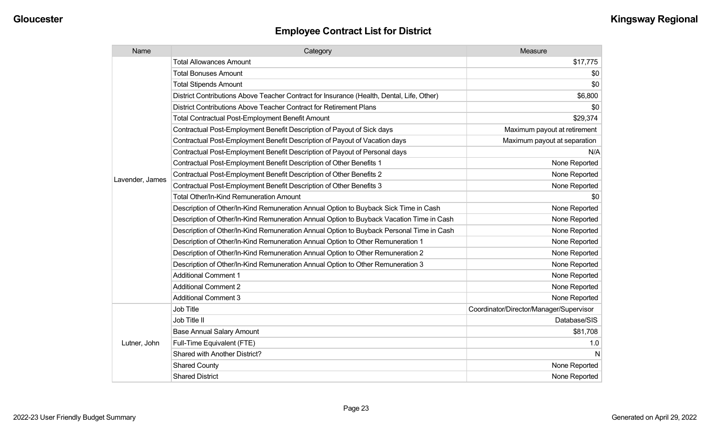| Name            | Category                                                                                  | Measure                                 |
|-----------------|-------------------------------------------------------------------------------------------|-----------------------------------------|
|                 | <b>Total Allowances Amount</b>                                                            | \$17,775                                |
|                 | <b>Total Bonuses Amount</b>                                                               | \$0                                     |
|                 | <b>Total Stipends Amount</b>                                                              | \$0                                     |
|                 | District Contributions Above Teacher Contract for Insurance (Health, Dental, Life, Other) | \$6,800                                 |
|                 | District Contributions Above Teacher Contract for Retirement Plans                        | \$0                                     |
|                 | <b>Total Contractual Post-Employment Benefit Amount</b>                                   | \$29,374                                |
|                 | Contractual Post-Employment Benefit Description of Payout of Sick days                    | Maximum payout at retirement            |
|                 | Contractual Post-Employment Benefit Description of Payout of Vacation days                | Maximum payout at separation            |
|                 | Contractual Post-Employment Benefit Description of Payout of Personal days                | N/A                                     |
|                 | Contractual Post-Employment Benefit Description of Other Benefits 1                       | None Reported                           |
|                 | Contractual Post-Employment Benefit Description of Other Benefits 2                       | None Reported                           |
| Lavender, James | Contractual Post-Employment Benefit Description of Other Benefits 3                       | None Reported                           |
|                 | <b>Total Other/In-Kind Remuneration Amount</b>                                            | \$0                                     |
|                 | Description of Other/In-Kind Remuneration Annual Option to Buyback Sick Time in Cash      | None Reported                           |
|                 | Description of Other/In-Kind Remuneration Annual Option to Buyback Vacation Time in Cash  | None Reported                           |
|                 | Description of Other/In-Kind Remuneration Annual Option to Buyback Personal Time in Cash  | None Reported                           |
|                 | Description of Other/In-Kind Remuneration Annual Option to Other Remuneration 1           | None Reported                           |
|                 | Description of Other/In-Kind Remuneration Annual Option to Other Remuneration 2           | None Reported                           |
|                 | Description of Other/In-Kind Remuneration Annual Option to Other Remuneration 3           | None Reported                           |
|                 | <b>Additional Comment 1</b>                                                               | None Reported                           |
|                 | <b>Additional Comment 2</b>                                                               | None Reported                           |
|                 | <b>Additional Comment 3</b>                                                               | None Reported                           |
|                 | <b>Job Title</b>                                                                          | Coordinator/Director/Manager/Supervisor |
| Lutner, John    | Job Title II                                                                              | Database/SIS                            |
|                 | <b>Base Annual Salary Amount</b>                                                          | \$81,708                                |
|                 | Full-Time Equivalent (FTE)                                                                | 1.0                                     |
|                 | Shared with Another District?                                                             | N                                       |
|                 | <b>Shared County</b>                                                                      | None Reported                           |
|                 | <b>Shared District</b>                                                                    | None Reported                           |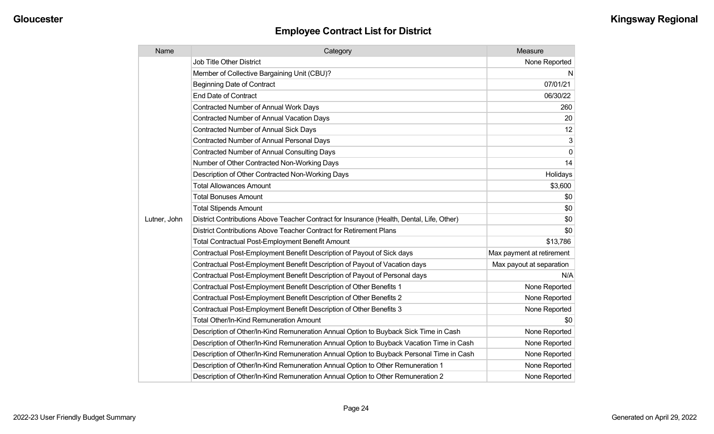| Name         | Category                                                                                  | Measure                   |
|--------------|-------------------------------------------------------------------------------------------|---------------------------|
|              | <b>Job Title Other District</b>                                                           | None Reported             |
|              | Member of Collective Bargaining Unit (CBU)?                                               | N.                        |
|              | <b>Beginning Date of Contract</b>                                                         | 07/01/21                  |
|              | <b>End Date of Contract</b>                                                               | 06/30/22                  |
|              | <b>Contracted Number of Annual Work Days</b>                                              | 260                       |
|              | <b>Contracted Number of Annual Vacation Days</b>                                          | 20                        |
|              | <b>Contracted Number of Annual Sick Days</b>                                              | 12                        |
|              | Contracted Number of Annual Personal Days                                                 | 3                         |
|              | Contracted Number of Annual Consulting Days                                               | $\pmb{0}$                 |
|              | Number of Other Contracted Non-Working Days                                               | 14                        |
|              | Description of Other Contracted Non-Working Days                                          | Holidays                  |
|              | <b>Total Allowances Amount</b>                                                            | \$3,600                   |
|              | <b>Total Bonuses Amount</b>                                                               | \$0                       |
|              | <b>Total Stipends Amount</b>                                                              | \$0                       |
| Lutner, John | District Contributions Above Teacher Contract for Insurance (Health, Dental, Life, Other) | \$0                       |
|              | District Contributions Above Teacher Contract for Retirement Plans                        | \$0                       |
|              | <b>Total Contractual Post-Employment Benefit Amount</b>                                   | \$13,786                  |
|              | Contractual Post-Employment Benefit Description of Payout of Sick days                    | Max payment at retirement |
|              | Contractual Post-Employment Benefit Description of Payout of Vacation days                | Max payout at separation  |
|              | Contractual Post-Employment Benefit Description of Payout of Personal days                | N/A                       |
|              | Contractual Post-Employment Benefit Description of Other Benefits 1                       | None Reported             |
|              | Contractual Post-Employment Benefit Description of Other Benefits 2                       | None Reported             |
|              | Contractual Post-Employment Benefit Description of Other Benefits 3                       | None Reported             |
|              | <b>Total Other/In-Kind Remuneration Amount</b>                                            | \$0                       |
|              | Description of Other/In-Kind Remuneration Annual Option to Buyback Sick Time in Cash      | None Reported             |
|              | Description of Other/In-Kind Remuneration Annual Option to Buyback Vacation Time in Cash  | None Reported             |
|              | Description of Other/In-Kind Remuneration Annual Option to Buyback Personal Time in Cash  | None Reported             |
|              | Description of Other/In-Kind Remuneration Annual Option to Other Remuneration 1           | None Reported             |
|              | Description of Other/In-Kind Remuneration Annual Option to Other Remuneration 2           | None Reported             |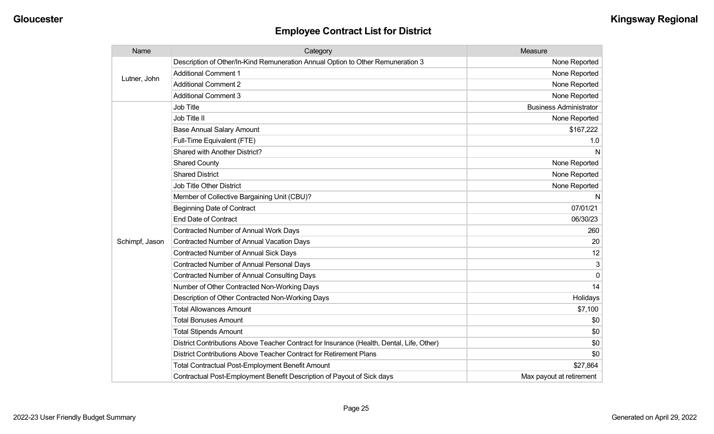| Name           | Category                                                                                  | Measure                       |
|----------------|-------------------------------------------------------------------------------------------|-------------------------------|
| Lutner, John   | Description of Other/In-Kind Remuneration Annual Option to Other Remuneration 3           | None Reported                 |
|                | <b>Additional Comment 1</b>                                                               | None Reported                 |
|                | <b>Additional Comment 2</b>                                                               | None Reported                 |
|                | <b>Additional Comment 3</b>                                                               | None Reported                 |
|                | Job Title                                                                                 | <b>Business Administrator</b> |
|                | Job Title II                                                                              | None Reported                 |
|                | <b>Base Annual Salary Amount</b>                                                          | \$167,222                     |
|                | Full-Time Equivalent (FTE)                                                                | 1.0                           |
|                | Shared with Another District?                                                             | N                             |
|                | <b>Shared County</b>                                                                      | None Reported                 |
|                | <b>Shared District</b>                                                                    | None Reported                 |
|                | Job Title Other District                                                                  | None Reported                 |
|                | Member of Collective Bargaining Unit (CBU)?                                               | N                             |
|                | <b>Beginning Date of Contract</b>                                                         | 07/01/21                      |
|                | <b>End Date of Contract</b>                                                               | 06/30/23                      |
|                | Contracted Number of Annual Work Days                                                     | 260                           |
| Schimpf, Jason | Contracted Number of Annual Vacation Days                                                 | 20                            |
|                | Contracted Number of Annual Sick Days                                                     | 12                            |
|                | <b>Contracted Number of Annual Personal Days</b>                                          | 3                             |
|                | <b>Contracted Number of Annual Consulting Days</b>                                        | $\Omega$                      |
|                | Number of Other Contracted Non-Working Days                                               | 14                            |
|                | Description of Other Contracted Non-Working Days                                          | Holidays                      |
|                | <b>Total Allowances Amount</b>                                                            | \$7,100                       |
|                | <b>Total Bonuses Amount</b>                                                               | \$0                           |
|                | <b>Total Stipends Amount</b>                                                              | \$0                           |
|                | District Contributions Above Teacher Contract for Insurance (Health, Dental, Life, Other) | \$0                           |
|                | District Contributions Above Teacher Contract for Retirement Plans                        | \$0                           |
|                | <b>Total Contractual Post-Employment Benefit Amount</b>                                   | \$27,864                      |
|                | Contractual Post-Employment Benefit Description of Payout of Sick days                    | Max payout at retirement      |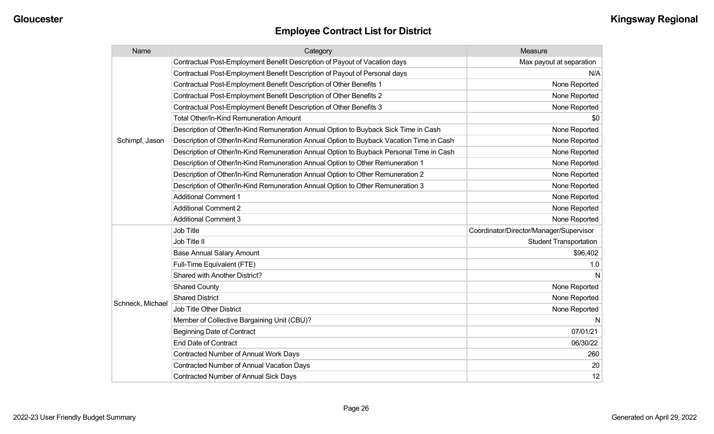| Name             | Category                                                                                 | Measure                                 |
|------------------|------------------------------------------------------------------------------------------|-----------------------------------------|
|                  | Contractual Post-Employment Benefit Description of Payout of Vacation days               | Max payout at separation                |
|                  | Contractual Post-Employment Benefit Description of Payout of Personal days               | N/A                                     |
|                  | Contractual Post-Employment Benefit Description of Other Benefits 1                      | None Reported                           |
|                  | Contractual Post-Employment Benefit Description of Other Benefits 2                      | None Reported                           |
|                  | Contractual Post-Employment Benefit Description of Other Benefits 3                      | None Reported                           |
|                  | Total Other/In-Kind Remuneration Amount                                                  | \$0                                     |
|                  | Description of Other/In-Kind Remuneration Annual Option to Buyback Sick Time in Cash     | None Reported                           |
| Schimpf, Jason   | Description of Other/In-Kind Remuneration Annual Option to Buyback Vacation Time in Cash | None Reported                           |
|                  | Description of Other/In-Kind Remuneration Annual Option to Buyback Personal Time in Cash | None Reported                           |
|                  | Description of Other/In-Kind Remuneration Annual Option to Other Remuneration 1          | None Reported                           |
|                  | Description of Other/In-Kind Remuneration Annual Option to Other Remuneration 2          | None Reported                           |
|                  | Description of Other/In-Kind Remuneration Annual Option to Other Remuneration 3          | None Reported                           |
|                  | <b>Additional Comment 1</b>                                                              | None Reported                           |
|                  | <b>Additional Comment 2</b>                                                              | None Reported                           |
|                  | <b>Additional Comment 3</b>                                                              | None Reported                           |
|                  | Job Title                                                                                | Coordinator/Director/Manager/Supervisor |
|                  | Job Title II                                                                             | <b>Student Transportation</b>           |
|                  | <b>Base Annual Salary Amount</b>                                                         | \$96,402                                |
|                  | Full-Time Equivalent (FTE)                                                               | 1.0                                     |
|                  | Shared with Another District?                                                            | N                                       |
|                  | <b>Shared County</b>                                                                     | None Reported                           |
|                  | <b>Shared District</b>                                                                   | None Reported                           |
| Schneck, Michael | Job Title Other District                                                                 | None Reported                           |
|                  | Member of Collective Bargaining Unit (CBU)?                                              | N                                       |
|                  | <b>Beginning Date of Contract</b>                                                        | 07/01/21                                |
|                  | <b>End Date of Contract</b>                                                              | 06/30/22                                |
|                  | <b>Contracted Number of Annual Work Days</b>                                             | 260                                     |
|                  | Contracted Number of Annual Vacation Days                                                | 20                                      |
|                  | <b>Contracted Number of Annual Sick Days</b>                                             | 12                                      |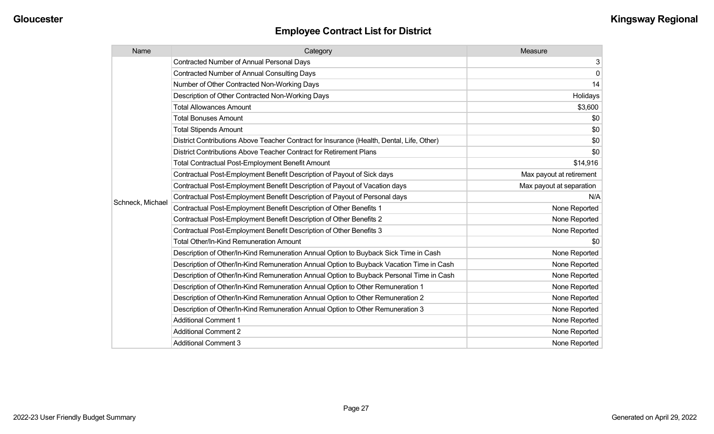|  | Name                                                                            | Category                                                                                  | Measure                  |
|--|---------------------------------------------------------------------------------|-------------------------------------------------------------------------------------------|--------------------------|
|  | <b>Contracted Number of Annual Personal Days</b>                                | 3                                                                                         |                          |
|  | <b>Contracted Number of Annual Consulting Days</b>                              | $\mathbf 0$                                                                               |                          |
|  | Number of Other Contracted Non-Working Days                                     | 14                                                                                        |                          |
|  | Description of Other Contracted Non-Working Days                                | Holidays                                                                                  |                          |
|  | <b>Total Allowances Amount</b>                                                  | \$3,600                                                                                   |                          |
|  |                                                                                 | <b>Total Bonuses Amount</b>                                                               | \$0                      |
|  |                                                                                 | <b>Total Stipends Amount</b>                                                              | \$0                      |
|  |                                                                                 | District Contributions Above Teacher Contract for Insurance (Health, Dental, Life, Other) | \$0                      |
|  |                                                                                 | District Contributions Above Teacher Contract for Retirement Plans                        | \$0                      |
|  |                                                                                 | <b>Total Contractual Post-Employment Benefit Amount</b>                                   | \$14,916                 |
|  |                                                                                 | Contractual Post-Employment Benefit Description of Payout of Sick days                    | Max payout at retirement |
|  |                                                                                 | Contractual Post-Employment Benefit Description of Payout of Vacation days                | Max payout at separation |
|  | Schneck, Michael                                                                | Contractual Post-Employment Benefit Description of Payout of Personal days                | N/A                      |
|  |                                                                                 | Contractual Post-Employment Benefit Description of Other Benefits 1                       | None Reported            |
|  |                                                                                 | Contractual Post-Employment Benefit Description of Other Benefits 2                       | None Reported            |
|  |                                                                                 | Contractual Post-Employment Benefit Description of Other Benefits 3                       | None Reported            |
|  |                                                                                 | <b>Total Other/In-Kind Remuneration Amount</b>                                            | \$0                      |
|  |                                                                                 | Description of Other/In-Kind Remuneration Annual Option to Buyback Sick Time in Cash      | None Reported            |
|  |                                                                                 | Description of Other/In-Kind Remuneration Annual Option to Buyback Vacation Time in Cash  | None Reported            |
|  |                                                                                 | Description of Other/In-Kind Remuneration Annual Option to Buyback Personal Time in Cash  | None Reported            |
|  | Description of Other/In-Kind Remuneration Annual Option to Other Remuneration 1 | None Reported                                                                             |                          |
|  |                                                                                 | Description of Other/In-Kind Remuneration Annual Option to Other Remuneration 2           | None Reported            |
|  |                                                                                 | Description of Other/In-Kind Remuneration Annual Option to Other Remuneration 3           | None Reported            |
|  |                                                                                 | <b>Additional Comment 1</b>                                                               | None Reported            |
|  |                                                                                 | <b>Additional Comment 2</b>                                                               | None Reported            |
|  |                                                                                 | <b>Additional Comment 3</b>                                                               | None Reported            |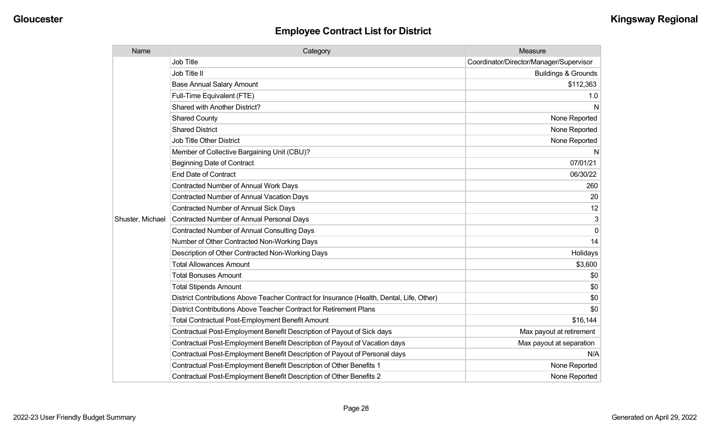| Name             | Category                                                                                  | Measure                                 |
|------------------|-------------------------------------------------------------------------------------------|-----------------------------------------|
|                  | <b>Job Title</b>                                                                          | Coordinator/Director/Manager/Supervisor |
|                  | Job Title II                                                                              | <b>Buildings &amp; Grounds</b>          |
|                  | <b>Base Annual Salary Amount</b>                                                          | \$112,363                               |
|                  | Full-Time Equivalent (FTE)                                                                | 1.0                                     |
|                  | <b>Shared with Another District?</b>                                                      | N                                       |
|                  | <b>Shared County</b>                                                                      | None Reported                           |
|                  | <b>Shared District</b>                                                                    | None Reported                           |
|                  | <b>Job Title Other District</b>                                                           | None Reported                           |
|                  | Member of Collective Bargaining Unit (CBU)?                                               | N                                       |
|                  | <b>Beginning Date of Contract</b>                                                         | 07/01/21                                |
|                  | <b>End Date of Contract</b>                                                               | 06/30/22                                |
|                  | Contracted Number of Annual Work Days                                                     | 260                                     |
|                  | Contracted Number of Annual Vacation Days                                                 | 20                                      |
|                  | <b>Contracted Number of Annual Sick Days</b>                                              | 12                                      |
| Shuster, Michael | <b>Contracted Number of Annual Personal Days</b>                                          | 3                                       |
|                  | <b>Contracted Number of Annual Consulting Days</b>                                        | $\mathbf 0$                             |
|                  | Number of Other Contracted Non-Working Days                                               | 14                                      |
|                  | Description of Other Contracted Non-Working Days                                          | Holidays                                |
|                  | <b>Total Allowances Amount</b>                                                            | \$3,600                                 |
|                  | <b>Total Bonuses Amount</b>                                                               | \$0                                     |
|                  | <b>Total Stipends Amount</b>                                                              | \$0                                     |
|                  | District Contributions Above Teacher Contract for Insurance (Health, Dental, Life, Other) | \$0                                     |
|                  | District Contributions Above Teacher Contract for Retirement Plans                        | \$0                                     |
|                  | <b>Total Contractual Post-Employment Benefit Amount</b>                                   | \$16,144                                |
|                  | Contractual Post-Employment Benefit Description of Payout of Sick days                    | Max payout at retirement                |
|                  | Contractual Post-Employment Benefit Description of Payout of Vacation days                | Max payout at separation                |
|                  | Contractual Post-Employment Benefit Description of Payout of Personal days                | N/A                                     |
|                  | Contractual Post-Employment Benefit Description of Other Benefits 1                       | None Reported                           |
|                  | Contractual Post-Employment Benefit Description of Other Benefits 2                       | None Reported                           |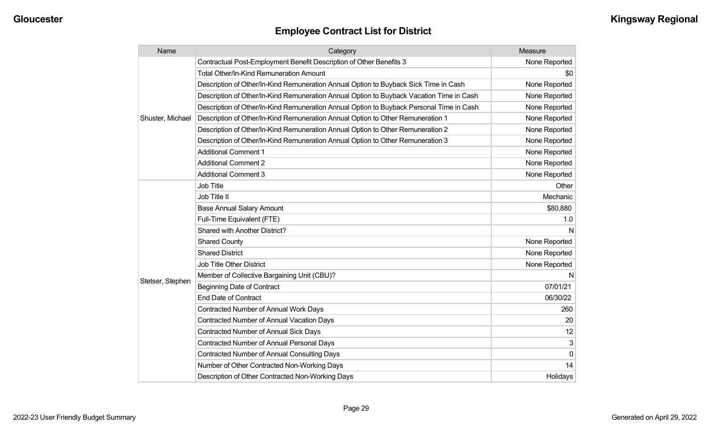| Name             | Category                                                                                 | Measure       |
|------------------|------------------------------------------------------------------------------------------|---------------|
| Shuster, Michael | Contractual Post-Employment Benefit Description of Other Benefits 3                      | None Reported |
|                  | <b>Total Other/In-Kind Remuneration Amount</b>                                           | \$0           |
|                  | Description of Other/In-Kind Remuneration Annual Option to Buyback Sick Time in Cash     | None Reported |
|                  | Description of Other/In-Kind Remuneration Annual Option to Buyback Vacation Time in Cash | None Reported |
|                  | Description of Other/In-Kind Remuneration Annual Option to Buyback Personal Time in Cash | None Reported |
|                  | Description of Other/In-Kind Remuneration Annual Option to Other Remuneration 1          | None Reported |
|                  | Description of Other/In-Kind Remuneration Annual Option to Other Remuneration 2          | None Reported |
|                  | Description of Other/In-Kind Remuneration Annual Option to Other Remuneration 3          | None Reported |
|                  | <b>Additional Comment 1</b>                                                              | None Reported |
|                  | <b>Additional Comment 2</b>                                                              | None Reported |
|                  | <b>Additional Comment 3</b>                                                              | None Reported |
|                  | Job Title                                                                                | Other         |
|                  | Job Title II                                                                             | Mechanic      |
|                  | <b>Base Annual Salary Amount</b>                                                         | \$80,880      |
|                  | Full-Time Equivalent (FTE)                                                               | 1.0           |
|                  | Shared with Another District?                                                            | N             |
|                  | <b>Shared County</b>                                                                     | None Reported |
|                  | <b>Shared District</b>                                                                   | None Reported |
|                  | Job Title Other District                                                                 | None Reported |
|                  | Member of Collective Bargaining Unit (CBU)?                                              | N             |
| Stetser, Stephen | <b>Beginning Date of Contract</b>                                                        | 07/01/21      |
|                  | <b>End Date of Contract</b>                                                              | 06/30/22      |
|                  | <b>Contracted Number of Annual Work Days</b>                                             | 260           |
|                  | Contracted Number of Annual Vacation Days                                                | 20            |
|                  | <b>Contracted Number of Annual Sick Days</b>                                             | 12            |
|                  | Contracted Number of Annual Personal Days                                                | 3             |
|                  | <b>Contracted Number of Annual Consulting Days</b>                                       | $\Omega$      |
|                  | Number of Other Contracted Non-Working Days                                              | 14            |
|                  | Description of Other Contracted Non-Working Days                                         | Holidays      |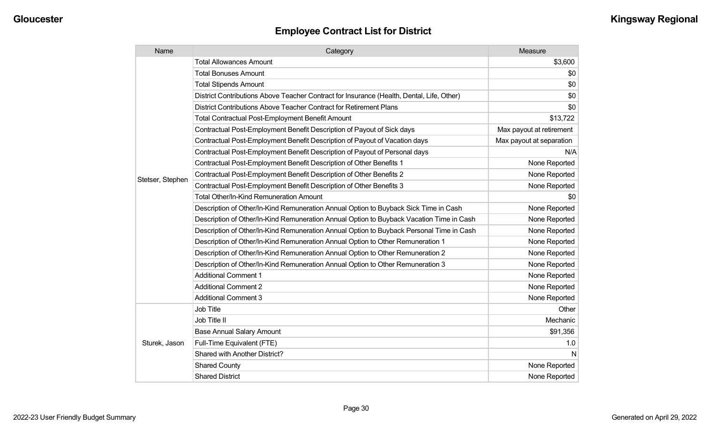| Name             | Category                                                                                  | Measure                  |
|------------------|-------------------------------------------------------------------------------------------|--------------------------|
|                  | <b>Total Allowances Amount</b>                                                            | \$3,600                  |
|                  | <b>Total Bonuses Amount</b>                                                               | \$0                      |
|                  | <b>Total Stipends Amount</b>                                                              | \$0                      |
|                  | District Contributions Above Teacher Contract for Insurance (Health, Dental, Life, Other) | \$0                      |
|                  | District Contributions Above Teacher Contract for Retirement Plans                        | \$0                      |
|                  | Total Contractual Post-Employment Benefit Amount                                          | \$13,722                 |
|                  | Contractual Post-Employment Benefit Description of Payout of Sick days                    | Max payout at retirement |
|                  | Contractual Post-Employment Benefit Description of Payout of Vacation days                | Max payout at separation |
|                  | Contractual Post-Employment Benefit Description of Payout of Personal days                | N/A                      |
|                  | Contractual Post-Employment Benefit Description of Other Benefits 1                       | None Reported            |
|                  | Contractual Post-Employment Benefit Description of Other Benefits 2                       | None Reported            |
| Stetser, Stephen | Contractual Post-Employment Benefit Description of Other Benefits 3                       | None Reported            |
|                  | Total Other/In-Kind Remuneration Amount                                                   | \$0                      |
|                  | Description of Other/In-Kind Remuneration Annual Option to Buyback Sick Time in Cash      | None Reported            |
|                  | Description of Other/In-Kind Remuneration Annual Option to Buyback Vacation Time in Cash  | None Reported            |
|                  | Description of Other/In-Kind Remuneration Annual Option to Buyback Personal Time in Cash  | None Reported            |
|                  | Description of Other/In-Kind Remuneration Annual Option to Other Remuneration 1           | None Reported            |
|                  | Description of Other/In-Kind Remuneration Annual Option to Other Remuneration 2           | None Reported            |
|                  | Description of Other/In-Kind Remuneration Annual Option to Other Remuneration 3           | None Reported            |
|                  | <b>Additional Comment 1</b>                                                               | None Reported            |
|                  | <b>Additional Comment 2</b>                                                               | None Reported            |
|                  | <b>Additional Comment 3</b>                                                               | None Reported            |
|                  | Job Title                                                                                 | Other                    |
| Sturek, Jason    | Job Title II                                                                              | Mechanic                 |
|                  | <b>Base Annual Salary Amount</b>                                                          | \$91,356                 |
|                  | Full-Time Equivalent (FTE)                                                                | 1.0                      |
|                  | Shared with Another District?                                                             | N                        |
|                  | <b>Shared County</b>                                                                      | None Reported            |
|                  | <b>Shared District</b>                                                                    | None Reported            |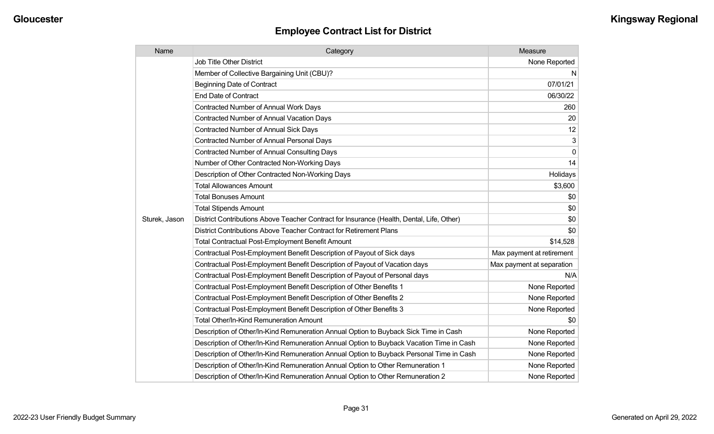| Name          | Category                                                                                  | Measure                   |
|---------------|-------------------------------------------------------------------------------------------|---------------------------|
|               | <b>Job Title Other District</b>                                                           | None Reported             |
|               | Member of Collective Bargaining Unit (CBU)?                                               | N.                        |
|               | <b>Beginning Date of Contract</b>                                                         | 07/01/21                  |
|               | <b>End Date of Contract</b>                                                               | 06/30/22                  |
|               | Contracted Number of Annual Work Days                                                     | 260                       |
|               | <b>Contracted Number of Annual Vacation Days</b>                                          | 20                        |
|               | Contracted Number of Annual Sick Days                                                     | 12                        |
|               | <b>Contracted Number of Annual Personal Days</b>                                          | 3                         |
|               | <b>Contracted Number of Annual Consulting Days</b>                                        | $\mathbf 0$               |
|               | Number of Other Contracted Non-Working Days                                               | 14                        |
|               | Description of Other Contracted Non-Working Days                                          | Holidays                  |
|               | <b>Total Allowances Amount</b>                                                            | \$3,600                   |
|               | <b>Total Bonuses Amount</b>                                                               | \$0                       |
|               | <b>Total Stipends Amount</b>                                                              | \$0                       |
| Sturek, Jason | District Contributions Above Teacher Contract for Insurance (Health, Dental, Life, Other) | \$0                       |
|               | District Contributions Above Teacher Contract for Retirement Plans                        | \$0                       |
|               | <b>Total Contractual Post-Employment Benefit Amount</b>                                   | \$14,528                  |
|               | Contractual Post-Employment Benefit Description of Payout of Sick days                    | Max payment at retirement |
|               | Contractual Post-Employment Benefit Description of Payout of Vacation days                | Max payment at separation |
|               | Contractual Post-Employment Benefit Description of Payout of Personal days                | N/A                       |
|               | Contractual Post-Employment Benefit Description of Other Benefits 1                       | None Reported             |
|               | Contractual Post-Employment Benefit Description of Other Benefits 2                       | None Reported             |
|               | Contractual Post-Employment Benefit Description of Other Benefits 3                       | None Reported             |
|               | Total Other/In-Kind Remuneration Amount                                                   | \$0                       |
|               | Description of Other/In-Kind Remuneration Annual Option to Buyback Sick Time in Cash      | None Reported             |
|               | Description of Other/In-Kind Remuneration Annual Option to Buyback Vacation Time in Cash  | None Reported             |
|               | Description of Other/In-Kind Remuneration Annual Option to Buyback Personal Time in Cash  | None Reported             |
|               | Description of Other/In-Kind Remuneration Annual Option to Other Remuneration 1           | None Reported             |
|               | Description of Other/In-Kind Remuneration Annual Option to Other Remuneration 2           | None Reported             |